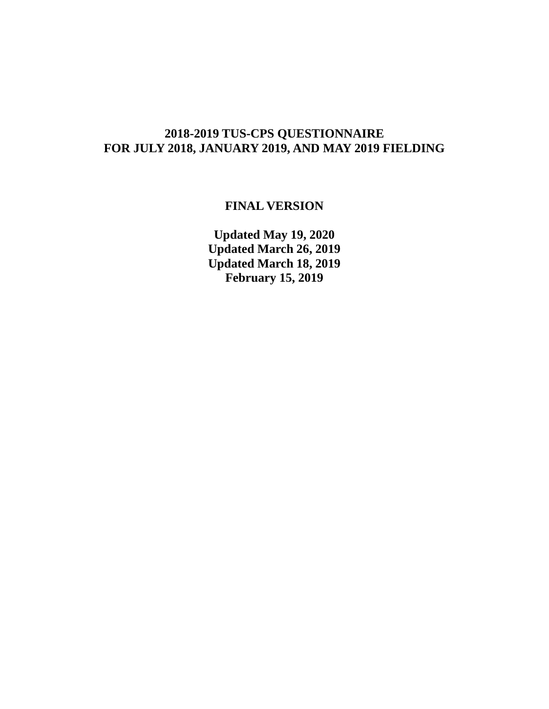# **2018-2019 TUS-CPS QUESTIONNAIRE FOR JULY 2018, JANUARY 2019, AND MAY 2019 FIELDING**

# **FINAL VERSION**

**Updated May 19, 2020 Updated March 26, 2019 Updated March 18, 2019 February 15, 2019**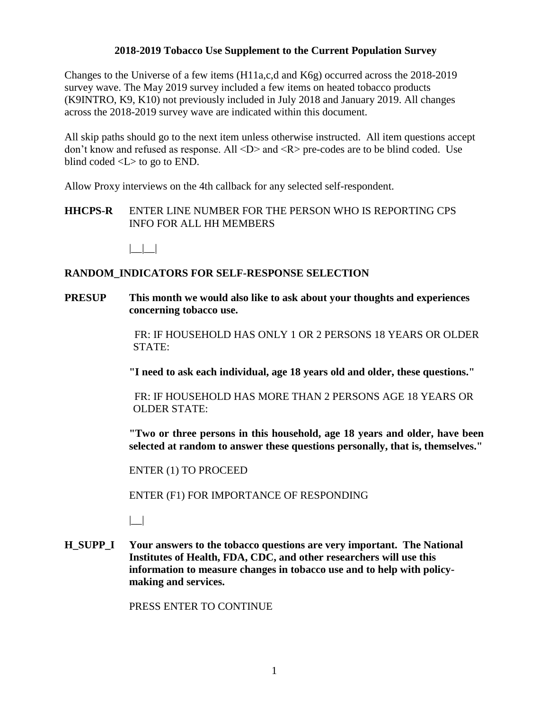#### **2018-2019 Tobacco Use Supplement to the Current Population Survey**

Changes to the Universe of a few items (H11a,c,d and K6g) occurred across the 2018-2019 survey wave. The May 2019 survey included a few items on heated tobacco products (K9INTRO, K9, K10) not previously included in July 2018 and January 2019. All changes across the 2018-2019 survey wave are indicated within this document.

All skip paths should go to the next item unless otherwise instructed. All item questions accept don't know and refused as response. All <D> and <R> pre-codes are to be blind coded. Use blind coded <L> to go to END.

Allow Proxy interviews on the 4th callback for any selected self-respondent.

**HHCPS-R** ENTER LINE NUMBER FOR THE PERSON WHO IS REPORTING CPS INFO FOR ALL HH MEMBERS

 $| \cdot |$ 

#### **RANDOM\_INDICATORS FOR SELF-RESPONSE SELECTION**

**PRESUP This month we would also like to ask about your thoughts and experiences concerning tobacco use.** 

> FR: IF HOUSEHOLD HAS ONLY 1 OR 2 PERSONS 18 YEARS OR OLDER STATE:

**"I need to ask each individual, age 18 years old and older, these questions."** 

 FR: IF HOUSEHOLD HAS MORE THAN 2 PERSONS AGE 18 YEARS OR OLDER STATE:

 **"Two or three persons in this household, age 18 years and older, have been selected at random to answer these questions personally, that is, themselves."** 

ENTER (1) TO PROCEED

ENTER (F1) FOR IMPORTANCE OF RESPONDING

|\_\_|

**H\_SUPP\_I Your answers to the tobacco questions are very important. The National Institutes of Health, FDA, CDC, and other researchers will use this information to measure changes in tobacco use and to help with policymaking and services.**

PRESS ENTER TO CONTINUE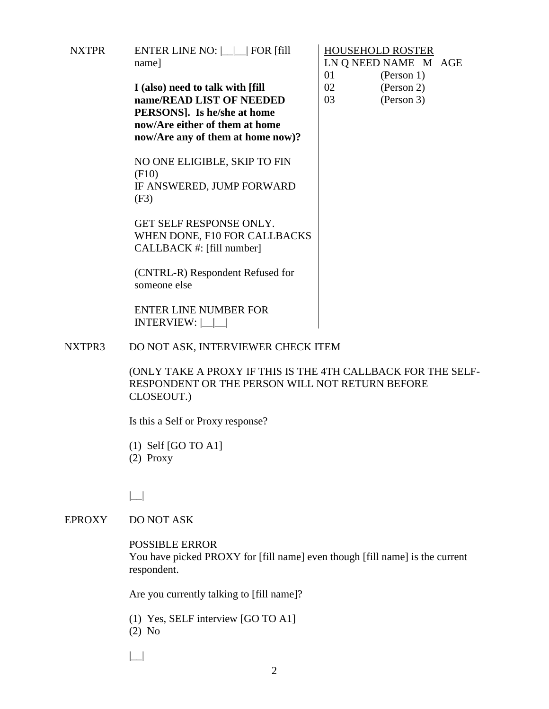| NXTPR | ENTER LINE NO: $\boxed{\phantom{1}}$ FOR [fill] |
|-------|-------------------------------------------------|
|       | name]                                           |

**I (also) need to talk with [fill name/READ LIST OF NEEDED PERSONS]. Is he/she at home now/Are either of them at home now/Are any of them at home now)?**

NO ONE ELIGIBLE, SKIP TO FIN (F10) IF ANSWERED, JUMP FORWARD (F3)

GET SELF RESPONSE ONLY. WHEN DONE, F10 FOR CALLBACKS CALLBACK #: [fill number]

(CNTRL-R) Respondent Refused for someone else

ENTER LINE NUMBER FOR INTERVIEW: |\_\_|\_\_|

#### NXTPR3 DO NOT ASK, INTERVIEWER CHECK ITEM

 (ONLY TAKE A PROXY IF THIS IS THE 4TH CALLBACK FOR THE SELF-RESPONDENT OR THE PERSON WILL NOT RETURN BEFORE CLOSEOUT.)

Is this a Self or Proxy response?

 (1) Self [GO TO A1] (2) Proxy

 $|$ 

#### EPROXY DO NOT ASK

#### POSSIBLE ERROR

 You have picked PROXY for [fill name] even though [fill name] is the current respondent.

Are you currently talking to [fill name]?

- (1) Yes, SELF interview [GO TO A1] (2) No
- $| \_$

HOUSEHOLD ROSTER LN Q NEED NAME M AGE 01 (Person 1) 02 (Person 2) 03 (Person 3)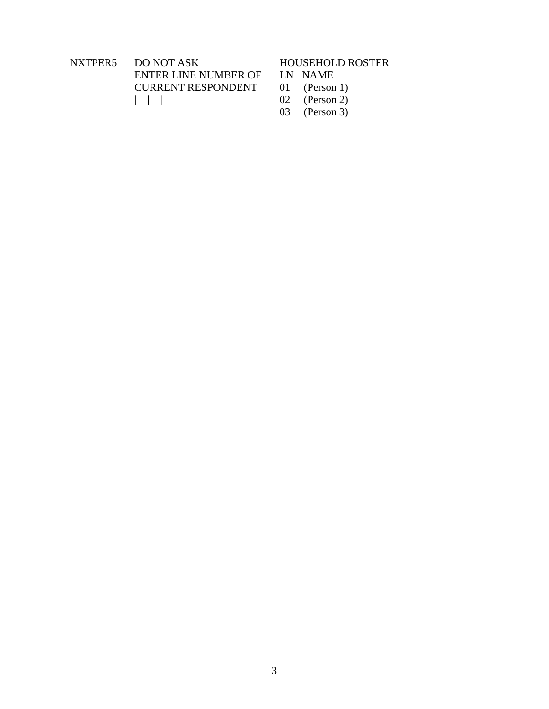NXTPER5 DO NOT ASK ENTER LINE NUMBER OF CURRENT RESPONDENT  $|$ 

# HOUSEHOLD ROSTER

LN NAME<br>01 (Person

- 01 (Person 1)<br>02 (Person 2)
- 02 (Person 2)
- 03 (Person 3)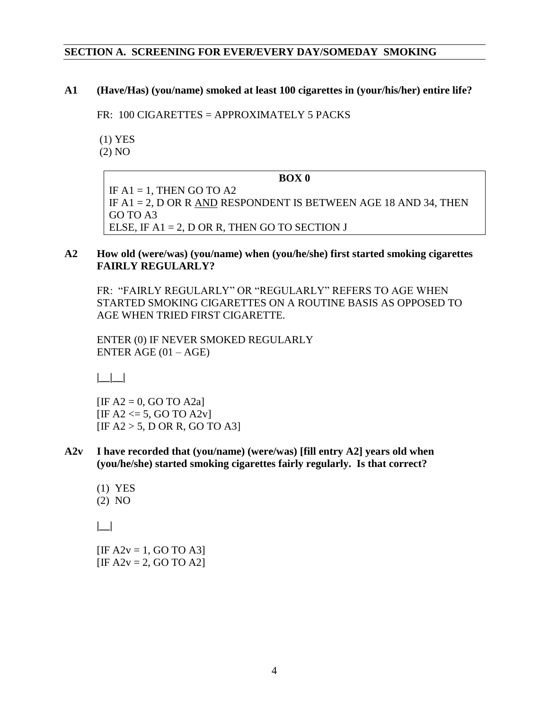#### **SECTION A. SCREENING FOR EVER/EVERY DAY/SOMEDAY SMOKING**

**A1 (Have/Has) (you/name) smoked at least 100 cigarettes in (your/his/her) entire life?**

FR: 100 CIGARETTES = APPROXIMATELY 5 PACKS

(1) YES

(2) NO

#### **BOX 0**

IF  $A1 = 1$ , THEN GO TO  $A2$ IF A1 = 2, D OR R AND RESPONDENT IS BETWEEN AGE 18 AND 34, THEN GO TO A3 ELSE, IF  $A1 = 2$ , D OR R, THEN GO TO SECTION J

#### **A2 How old (were/was) (you/name) when (you/he/she) first started smoking cigarettes FAIRLY REGULARLY?**

FR: "FAIRLY REGULARLY" OR "REGULARLY" REFERS TO AGE WHEN STARTED SMOKING CIGARETTES ON A ROUTINE BASIS AS OPPOSED TO AGE WHEN TRIED FIRST CIGARETTE.

ENTER (0) IF NEVER SMOKED REGULARLY ENTER AGE  $(01 - AGE)$ 

**|\_\_|\_\_|** 

 $[IF A2 = 0, GO TO A2a]$  $[IF A2 \leq 5, GO TO A2v]$  $[IF A2 > 5, D OR R, GO TO A3]$ 

- **A2v I have recorded that (you/name) (were/was) [fill entry A2] years old when (you/he/she) started smoking cigarettes fairly regularly. Is that correct?** 
	- (1) YES (2) NO

**|\_\_|** 

 $[IF A2v = 1, GO TO A3]$  $[IF A2v = 2, GO TO A2]$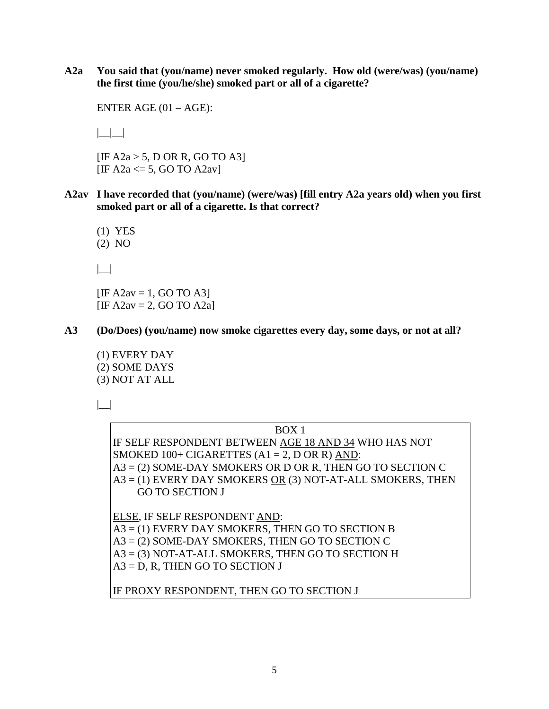**A2a You said that (you/name) never smoked regularly. How old (were/was) (you/name) the first time (you/he/she) smoked part or all of a cigarette?** 

ENTER AGE  $(01 - AGE)$ :

 $| \_|$ 

[IF A2a > 5, D OR R, GO TO A3] [IF A2a  $\le$  5, GO TO A2av]

**A2av I have recorded that (you/name) (were/was) [fill entry A2a years old) when you first smoked part or all of a cigarette. Is that correct?** 

(1) YES

(2) NO

 $| \_$ 

 $[IF A2av = 1, GO TO A3]$  $[IF A2av = 2, GO TO A2a]$ 

**A3 (Do/Does) (you/name) now smoke cigarettes every day, some days, or not at all?** 

(1) EVERY DAY (2) SOME DAYS (3) NOT AT ALL

 $| \_$ 

BOX 1 IF SELF RESPONDENT BETWEEN AGE 18 AND 34 WHO HAS NOT SMOKED  $100+CIGARETTES (A1 = 2, D \text{ OR } R)$  AND: A3 = (2) SOME-DAY SMOKERS OR D OR R, THEN GO TO SECTION C A3 = (1) EVERY DAY SMOKERS OR (3) NOT-AT-ALL SMOKERS, THEN GO TO SECTION J ELSE, IF SELF RESPONDENT AND: A3 = (1) EVERY DAY SMOKERS, THEN GO TO SECTION B A3 = (2) SOME-DAY SMOKERS, THEN GO TO SECTION C A3 = (3) NOT-AT-ALL SMOKERS, THEN GO TO SECTION H  $A3 = D$ , R, THEN GO TO SECTION J

IF PROXY RESPONDENT, THEN GO TO SECTION J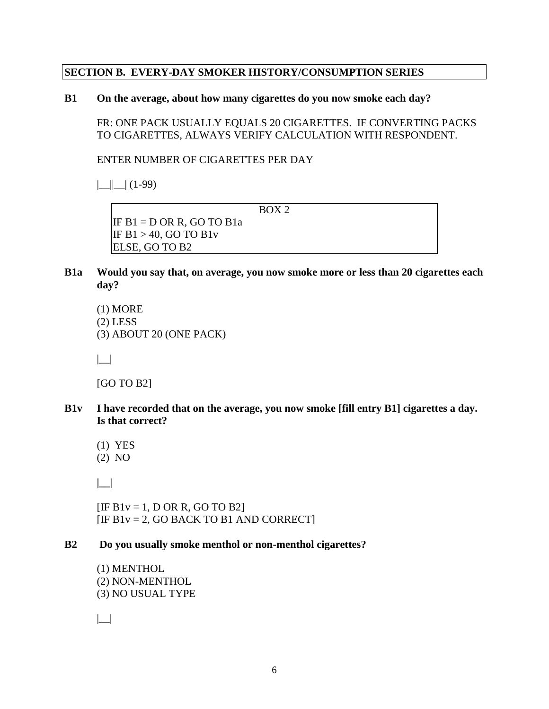#### **SECTION B. EVERY-DAY SMOKER HISTORY/CONSUMPTION SERIES**

#### **B1 On the average, about how many cigarettes do you now smoke each day?**

 FR: ONE PACK USUALLY EQUALS 20 CIGARETTES. IF CONVERTING PACKS TO CIGARETTES, ALWAYS VERIFY CALCULATION WITH RESPONDENT.

ENTER NUMBER OF CIGARETTES PER DAY

 $||$   $||$   $(1-99)$ 

BOX 2

IF  $B1 = D$  OR R, GO TO  $B1a$ IF  $B1 > 40$ , GO TO  $B1v$ ELSE, GO TO B2

- **B1a Would you say that, on average, you now smoke more or less than 20 cigarettes each day?** 
	- (1) MORE (2) LESS (3) ABOUT 20 (ONE PACK)

|\_\_|

[GO TO B2]

- **B1v I have recorded that on the average, you now smoke [fill entry B1] cigarettes a day. Is that correct?**
	- (1) YES

(2) NO

**|\_\_|** 

 $[IF B1v = 1, D OR R, GO TO B2]$  $[IF B1v = 2, GO BACK TO B1 AND CORRECT]$ 

#### **B2 Do you usually smoke menthol or non-menthol cigarettes?**

(1) MENTHOL (2) NON-MENTHOL (3) NO USUAL TYPE

 $| \_$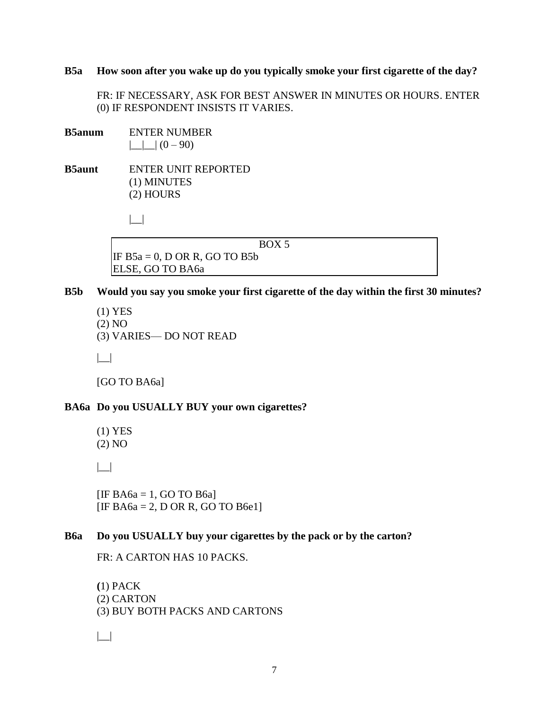#### **B5a How soon after you wake up do you typically smoke your first cigarette of the day?**

 FR: IF NECESSARY, ASK FOR BEST ANSWER IN MINUTES OR HOURS. ENTER (0) IF RESPONDENT INSISTS IT VARIES.

**B5anum** ENTER NUMBER  $|$   $|$   $|$   $|$   $(0 - 90)$ 

**B5aunt** ENTER UNIT REPORTED (1) MINUTES (2) HOURS

 $| \_$ 

BOX 5

IF  $B5a = 0$ , D OR R, GO TO B5b ELSE, GO TO BA6a

- **B5b Would you say you smoke your first cigarette of the day within the first 30 minutes?** 
	- (1) YES (2) NO (3) VARIES— DO NOT READ

|\_\_|

[GO TO BA6a]

#### **BA6a Do you USUALLY BUY your own cigarettes?**

(1) YES (2) NO

|\_\_|

[IF BA6a = 1, GO TO B6a] [IF BA6a = 2, D OR R, GO TO B6e1]

#### **B6a Do you USUALLY buy your cigarettes by the pack or by the carton?**

FR: A CARTON HAS 10 PACKS.

**(**1) PACK (2) CARTON (3) BUY BOTH PACKS AND CARTONS

 $| \_$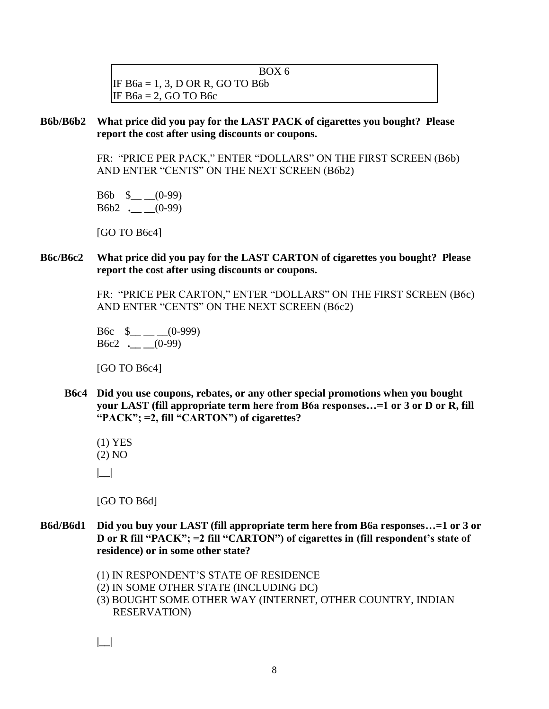BOX 6 IF B6a = 1, 3, D OR R, GO TO B6b IF  $B6a = 2$ , GO TO B6c

#### **B6b/B6b2 What price did you pay for the LAST PACK of cigarettes you bought? Please report the cost after using discounts or coupons.**

FR: "PRICE PER PACK," ENTER "DOLLARS" ON THE FIRST SCREEN (B6b) AND ENTER "CENTS" ON THE NEXT SCREEN (B6b2)

B6b  $\frac{\ }{2}$  (0-99) B6b2 **.\_\_ \_\_**(0-99)

[GO TO B6c4]

#### **B6c/B6c2 What price did you pay for the LAST CARTON of cigarettes you bought? Please report the cost after using discounts or coupons.**

 FR: "PRICE PER CARTON," ENTER "DOLLARS" ON THE FIRST SCREEN (B6c) AND ENTER "CENTS" ON THE NEXT SCREEN (B6c2)

B6c  $\text{\$}$  \_\_ \_(0-999) B6c2 **.\_\_ \_\_**(0-99)

[GO TO B6c4]

**B6c4 Did you use coupons, rebates, or any other special promotions when you bought your LAST (fill appropriate term here from B6a responses…=1 or 3 or D or R, fill "PACK"; =2, fill "CARTON") of cigarettes?** 

(1) YES (2) NO

**|\_\_|** 

[GO TO B6d]

- **B6d/B6d1 Did you buy your LAST (fill appropriate term here from B6a responses…=1 or 3 or D or R fill "PACK"; =2 fill "CARTON") of cigarettes in (fill respondent's state of residence) or in some other state?** 
	- (1) IN RESPONDENT'S STATE OF RESIDENCE
	- (2) IN SOME OTHER STATE (INCLUDING DC)
	- (3) BOUGHT SOME OTHER WAY (INTERNET, OTHER COUNTRY, INDIAN RESERVATION)

**|\_\_|**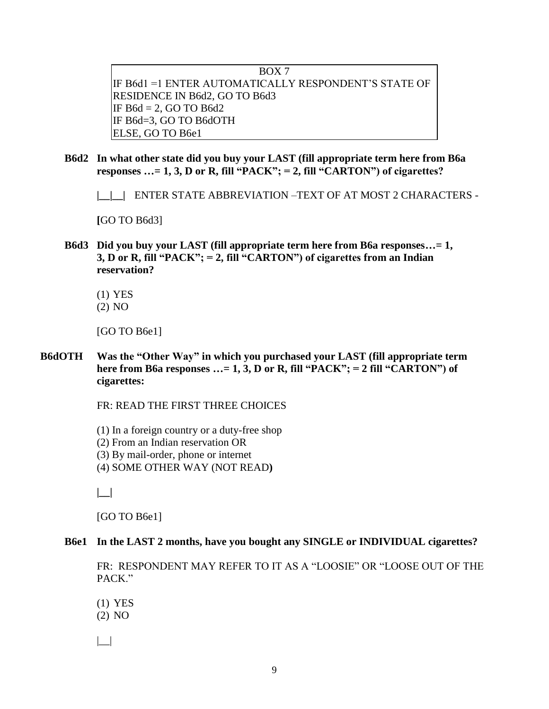BOX 7 IF B6d1 =1 ENTER AUTOMATICALLY RESPONDENT'S STATE OF RESIDENCE IN B6d2, GO TO B6d3 IF  $B6d = 2$ , GO TO  $B6d2$ IF B6d=3, GO TO B6dOTH ELSE, GO TO B6e1

**B6d2 In what other state did you buy your LAST (fill appropriate term here from B6a responses …= 1, 3, D or R, fill "PACK"; = 2, fill "CARTON") of cigarettes?** 

**|\_\_|\_\_|** ENTER STATE ABBREVIATION –TEXT OF AT MOST 2 CHARACTERS -

**[**GO TO B6d3]

- **B6d3 Did you buy your LAST (fill appropriate term here from B6a responses…= 1, 3, D or R, fill "PACK"; = 2, fill "CARTON") of cigarettes from an Indian reservation?** 
	- (1) YES
	- (2) NO

[GO TO B6e1]

**B6dOTH Was the "Other Way" in which you purchased your LAST (fill appropriate term here from B6a responses …= 1, 3, D or R, fill "PACK"; = 2 fill "CARTON") of cigarettes:** 

FR: READ THE FIRST THREE CHOICES

(1) In a foreign country or a duty-free shop (2) From an Indian reservation OR (3) By mail-order, phone or internet (4) SOME OTHER WAY (NOT READ**)** 

 **|\_\_|** 

[GO TO B6e1]

#### **B6e1 In the LAST 2 months, have you bought any SINGLE or INDIVIDUAL cigarettes?**

 FR: RESPONDENT MAY REFER TO IT AS A "LOOSIE" OR "LOOSE OUT OF THE PACK."

(1) YES (2) NO

 $| \_$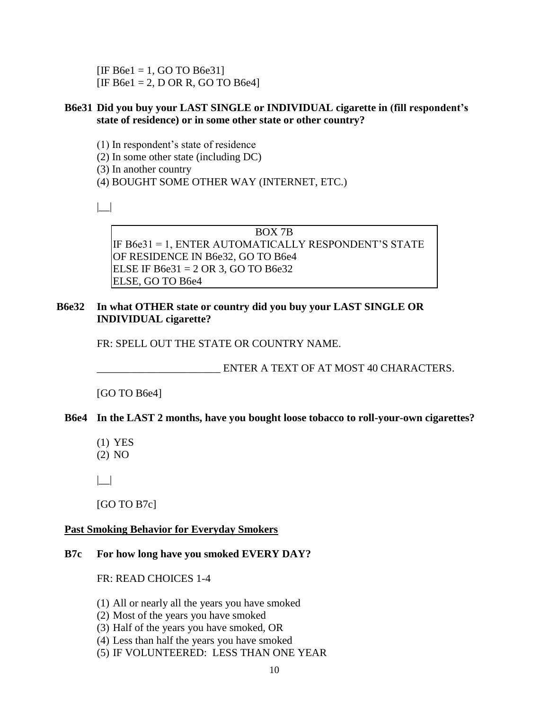$[IF B6e1 = 1, GO TO B6e31]$  $[IF B6e1 = 2, D OR R, GO TO B6e4]$ 

#### **B6e31 Did you buy your LAST SINGLE or INDIVIDUAL cigarette in (fill respondent's state of residence) or in some other state or other country?**

(1) In respondent's state of residence

(2) In some other state (including DC)

(3) In another country

(4) BOUGHT SOME OTHER WAY (INTERNET, ETC.)

 $| \cdot |$ 

BOX 7B IF B6e31 = 1, ENTER AUTOMATICALLY RESPONDENT'S STATE OF RESIDENCE IN B6e32, GO TO B6e4 ELSE IF B6e $31 = 2$  OR 3, GO TO B6e $32$ ELSE, GO TO B6e4

#### **B6e32 In what OTHER state or country did you buy your LAST SINGLE OR INDIVIDUAL cigarette?**

FR: SPELL OUT THE STATE OR COUNTRY NAME.

ENTER A TEXT OF AT MOST 40 CHARACTERS.

[GO TO B6e4]

#### **B6e4 In the LAST 2 months, have you bought loose tobacco to roll-your-own cigarettes?**

(1) YES (2) NO

|\_\_|

[GO TO B7c]

#### **Past Smoking Behavior for Everyday Smokers**

#### **B7c For how long have you smoked EVERY DAY?**

FR: READ CHOICES 1-4

- (1) All or nearly all the years you have smoked
- (2) Most of the years you have smoked
- (3) Half of the years you have smoked, OR
- (4) Less than half the years you have smoked
- (5) IF VOLUNTEERED: LESS THAN ONE YEAR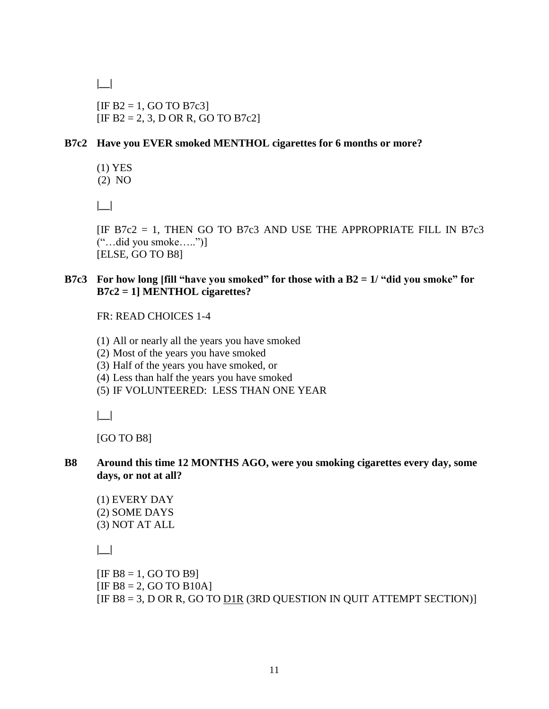**|\_\_|** 

 $[IF B2 = 1, GO TO B7c3]$  $[IF B2 = 2, 3, D OR R, GO TO B7c2]$ 

### **B7c2 Have you EVER smoked MENTHOL cigarettes for 6 months or more?**

(1) YES (2) NO

**|\_\_|** 

[IF B7c2 = 1, THEN GO TO B7c3 AND USE THE APPROPRIATE FILL IN B7c3 ("…did you smoke…..")] [ELSE, GO TO B8]

#### **B7c3 For how long [fill "have you smoked" for those with a B2 = 1/ "did you smoke" for B7c2 = 1] MENTHOL cigarettes?**

FR: READ CHOICES 1-4

- (1) All or nearly all the years you have smoked
- (2) Most of the years you have smoked
- (3) Half of the years you have smoked, or
- (4) Less than half the years you have smoked
- (5) IF VOLUNTEERED: LESS THAN ONE YEAR

**|\_\_|** 

[GO TO B8]

#### **B8 Around this time 12 MONTHS AGO, were you smoking cigarettes every day, some days, or not at all?**

(1) EVERY DAY (2) SOME DAYS (3) NOT AT ALL

 **|\_\_|** 

```
[IF B8 = 1, GO TO B9][IF B8 = 2, GO TO B10A][IF B8 = 3, D OR R, GO TO DIR (3RD QUESTION IN QUIT ATTEMPT SECTION)]
```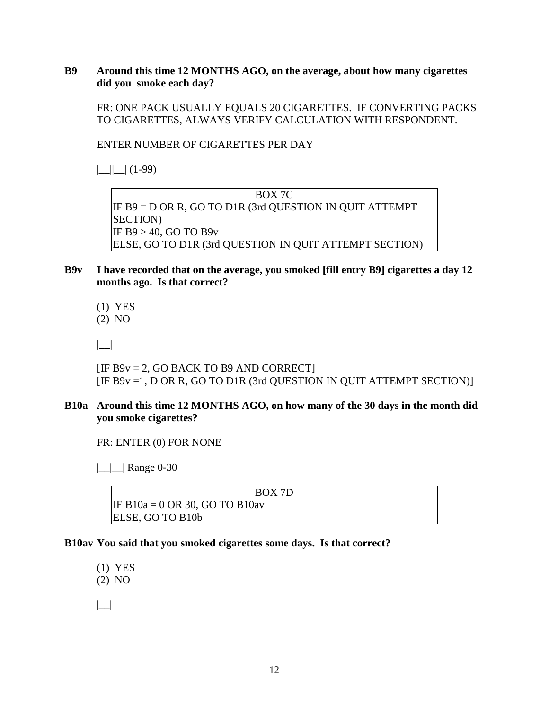#### **B9 Around this time 12 MONTHS AGO, on the average, about how many cigarettes did you smoke each day?**

 FR: ONE PACK USUALLY EQUALS 20 CIGARETTES. IF CONVERTING PACKS TO CIGARETTES, ALWAYS VERIFY CALCULATION WITH RESPONDENT.

ENTER NUMBER OF CIGARETTES PER DAY

 $||$   $||$   $(1-99)$ 

BOX 7C IF B9 = D OR R, GO TO D1R (3rd QUESTION IN QUIT ATTEMPT SECTION) IF B9 > 40, GO TO B9v ELSE, GO TO D1R (3rd QUESTION IN QUIT ATTEMPT SECTION)

- **B9v I have recorded that on the average, you smoked [fill entry B9] cigarettes a day 12 months ago. Is that correct?**
	- (1) YES

(2) NO

**|\_\_|** 

 $[IF B9v = 2, GO BACK TO B9 AND CORRECT]$ [IF B9v =1, D OR R, GO TO D1R (3rd QUESTION IN QUIT ATTEMPT SECTION)]

#### **B10a Around this time 12 MONTHS AGO, on how many of the 30 days in the month did you smoke cigarettes?**

FR: ENTER (0) FOR NONE

 $\lfloor \underline{\hspace{1cm}} \rfloor$  Range 0-30

#### BOX 7D

IF B $10a = 0$  OR 30, GO TO B $10av$ ELSE, GO TO B10b

#### **B10av You said that you smoked cigarettes some days. Is that correct?**

 (1) YES (2) NO |\_\_|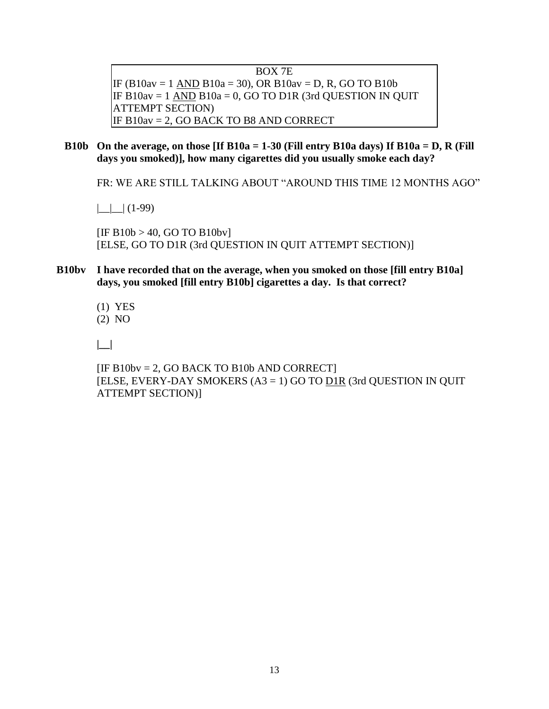BOX 7E IF (B10av = 1 AND B10a = 30), OR B10av = D, R, GO TO B10b IF  $B10av = 1$  AND  $B10a = 0$ , GO TO D1R (3rd QUESTION IN QUIT ATTEMPT SECTION) IF B10av = 2, GO BACK TO B8 AND CORRECT

**B10b On the average, on those [If B10a = 1-30 (Fill entry B10a days) If B10a = D, R (Fill days you smoked)], how many cigarettes did you usually smoke each day?** 

FR: WE ARE STILL TALKING ABOUT "AROUND THIS TIME 12 MONTHS AGO"

 $|$   $|$   $|$   $|$   $(1-99)$ 

 $[IF B10b > 40, GO TO B10bv]$ [ELSE, GO TO D1R (3rd QUESTION IN QUIT ATTEMPT SECTION)]

- **B10bv I have recorded that on the average, when you smoked on those [fill entry B10a] days, you smoked [fill entry B10b] cigarettes a day. Is that correct?** 
	- (1) YES (2) NO

 **|\_\_|** 

[IF B10bv = 2, GO BACK TO B10b AND CORRECT] [ELSE, EVERY-DAY SMOKERS (A3 = 1) GO TO D1R (3rd QUESTION IN QUIT ATTEMPT SECTION)]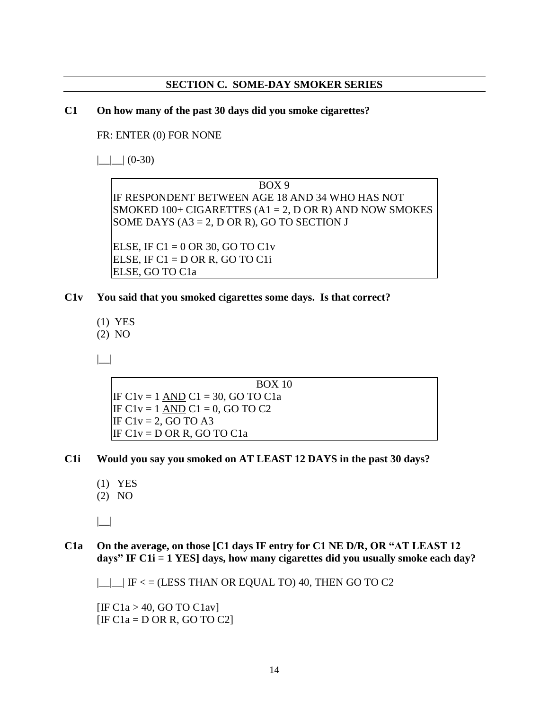#### **SECTION C. SOME-DAY SMOKER SERIES**

#### **C1 On how many of the past 30 days did you smoke cigarettes?**

FR: ENTER (0) FOR NONE

 $\Box$  (0-30)

BOX 9 IF RESPONDENT BETWEEN AGE 18 AND 34 WHO HAS NOT SMOKED  $100+$  CIGARETTES (A1 = 2, D OR R) AND NOW SMOKES SOME DAYS  $(A3 = 2, D \text{ OR } R)$ , GO TO SECTION J

ELSE, IF C $1 = 0$  OR 30, GO TO C1v ELSE, IF  $C1 = D$  OR R, GO TO  $C1i$ ELSE, GO TO C1a

- **C1v You said that you smoked cigarettes some days. Is that correct?**
	- (1) YES (2) NO
	-

|\_\_|

BOX 10 IF C1v = 1 AND C1 = 30, GO TO C1a IF C1v = 1 AND C1 = 0, GO TO C2 IF  $C1v = 2$ , GO TO A3 IF  $C1v = D$  OR R, GO TO  $C1a$ 

- **C1i Would you say you smoked on AT LEAST 12 DAYS in the past 30 days?** 
	- (1) YES
	- (2) NO

 $| \_|$ 

**C1a On the average, on those [C1 days IF entry for C1 NE D/R, OR "AT LEAST 12 days" IF C1i = 1 YES] days, how many cigarettes did you usually smoke each day?**

 $\Box$  IF < = (LESS THAN OR EQUAL TO) 40, THEN GO TO C2

 $[IF C1a > 40, GO TO C1av]$  $[IF C1a = D OR R, GO TO C2]$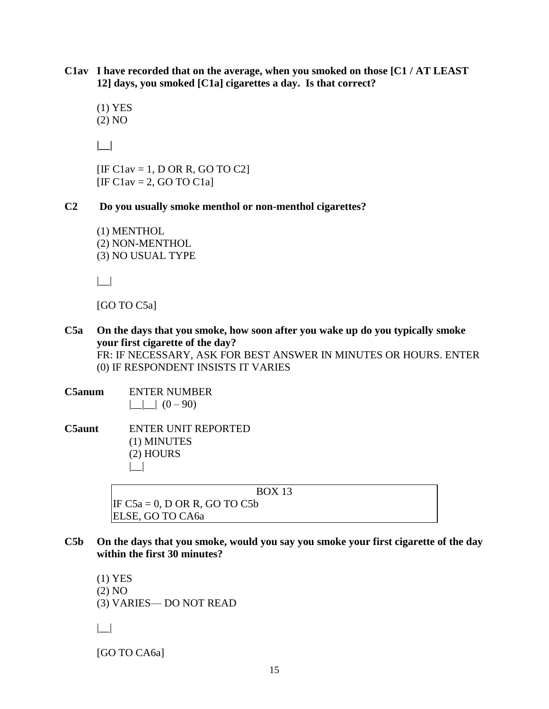**C1av I have recorded that on the average, when you smoked on those [C1 / AT LEAST 12] days, you smoked [C1a] cigarettes a day. Is that correct?**

 (1) YES (2) NO

**|\_\_|**

 $[IF Clav = 1, D OR R, GO TO C2]$  $[IF Clav = 2, GO TO Cla]$ 

**C2 Do you usually smoke menthol or non-menthol cigarettes?**

(1) MENTHOL (2) NON-MENTHOL (3) NO USUAL TYPE

|\_\_|

[GO TO C5a]

- **C5a On the days that you smoke, how soon after you wake up do you typically smoke your first cigarette of the day?** FR: IF NECESSARY, ASK FOR BEST ANSWER IN MINUTES OR HOURS. ENTER (0) IF RESPONDENT INSISTS IT VARIES
- **C5anum** ENTER NUMBER  $|\_$   $|$   $(0 - 90)$

**C5aunt** ENTER UNIT REPORTED (1) MINUTES (2) HOURS  $| \_$ 

BOX 13

IF  $C5a = 0$ , D OR R, GO TO  $C5b$ ELSE, GO TO CA6a

**C5b On the days that you smoke, would you say you smoke your first cigarette of the day within the first 30 minutes?**

(1) YES (2) NO (3) VARIES— DO NOT READ  $| \_$ 

[GO TO CA6a]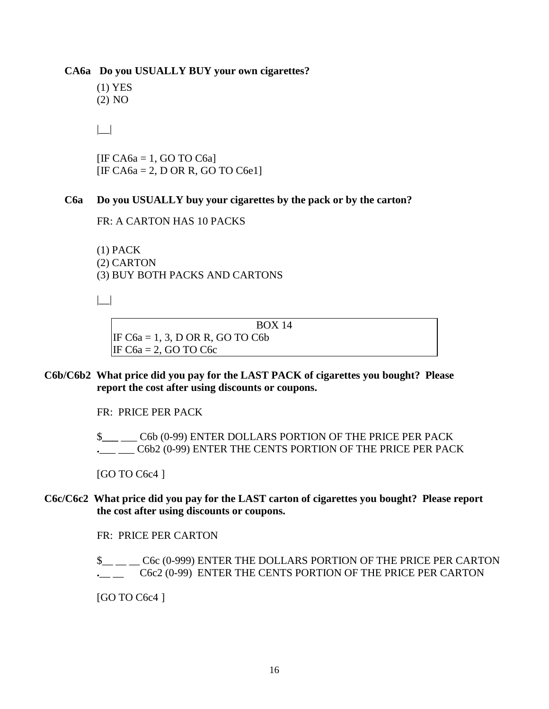**CA6a Do you USUALLY BUY your own cigarettes?**

(1) YES (2) NO

 $| \_$ 

 $[IF C<sub>A6a</sub> = 1, GO TO C<sub>6a</sub>]$  $[IF C<sub>A6a</sub> = 2, D OR R, GO TO C6e1]$ 

#### **C6a Do you USUALLY buy your cigarettes by the pack or by the carton?**

FR: A CARTON HAS 10 PACKS

(1) PACK (2) CARTON (3) BUY BOTH PACKS AND CARTONS

|\_\_|

BOX 14 IF  $C6a = 1, 3, D$  OR R, GO TO  $C6b$ IF C6a = 2, GO TO C6c

#### **C6b/C6b2 What price did you pay for the LAST PACK of cigarettes you bought? Please report the cost after using discounts or coupons.**

FR: PRICE PER PACK

 \$**\_\_\_** \_\_\_ C6b (0-99) ENTER DOLLARS PORTION OF THE PRICE PER PACK **.**\_\_\_ \_\_\_ C6b2 (0-99) ENTER THE CENTS PORTION OF THE PRICE PER PACK

[GO TO C6c4 ]

#### **C6c/C6c2 What price did you pay for the LAST carton of cigarettes you bought? Please report the cost after using discounts or coupons.**

FR: PRICE PER CARTON

\$\_\_ \_\_ \_\_ C6c (0-999) ENTER THE DOLLARS PORTION OF THE PRICE PER CARTON **.**\_\_ \_\_ C6c2 (0-99) ENTER THE CENTS PORTION OF THE PRICE PER CARTON

[GO TO C6c4]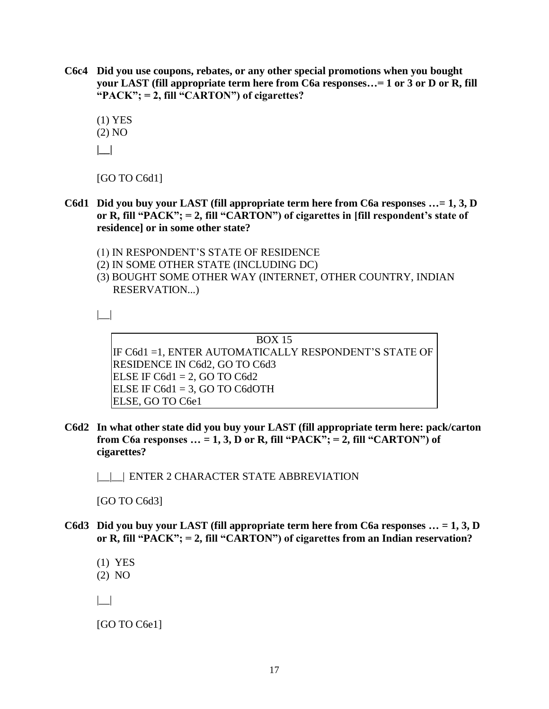- **C6c4 Did you use coupons, rebates, or any other special promotions when you bought your LAST (fill appropriate term here from C6a responses…= 1 or 3 or D or R, fill "PACK"; = 2, fill "CARTON") of cigarettes?**
	- (1) YES (2) NO **|\_\_|**

[GO TO C6d1]

- **C6d1 Did you buy your LAST (fill appropriate term here from C6a responses …= 1, 3, D or R, fill "PACK"; = 2, fill "CARTON") of cigarettes in [fill respondent's state of residence] or in some other state?** 
	- (1) IN RESPONDENT'S STATE OF RESIDENCE
	- (2) IN SOME OTHER STATE (INCLUDING DC)
	- (3) BOUGHT SOME OTHER WAY (INTERNET, OTHER COUNTRY, INDIAN RESERVATION...)

 $| \_$ 

BOX 15 IF C6d1 =1, ENTER AUTOMATICALLY RESPONDENT'S STATE OF RESIDENCE IN C6d2, GO TO C6d3 ELSE IF  $C6d1 = 2$ , GO TO  $C6d2$ ELSE IF  $C6d1 = 3$ , GO TO C6dOTH ELSE, GO TO C6e1

**C6d2 In what other state did you buy your LAST (fill appropriate term here: pack/carton from C6a responses … = 1, 3, D or R, fill "PACK"; = 2, fill "CARTON") of cigarettes?** 

|\_\_|\_\_| ENTER 2 CHARACTER STATE ABBREVIATION

[GO TO C6d3]

**C6d3 Did you buy your LAST (fill appropriate term here from C6a responses … = 1, 3, D or R, fill "PACK"; = 2, fill "CARTON") of cigarettes from an Indian reservation?**

(1) YES (2) NO |\_\_|

[GO TO C6e1]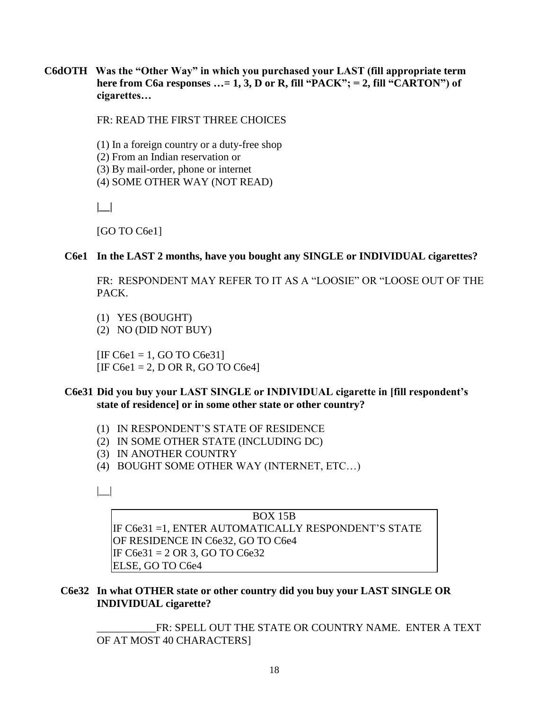**C6dOTH Was the "Other Way" in which you purchased your LAST (fill appropriate term**  here from C6a responses ...= 1, 3, D or R, fill "PACK"; = 2, fill "CARTON") of **cigarettes…**

FR: READ THE FIRST THREE CHOICES

(1) In a foreign country or a duty-free shop (2) From an Indian reservation or (3) By mail-order, phone or internet (4) SOME OTHER WAY (NOT READ)

**|\_\_|** 

[GO TO C6e1]

#### **C6e1 In the LAST 2 months, have you bought any SINGLE or INDIVIDUAL cigarettes?**

 FR: RESPONDENT MAY REFER TO IT AS A "LOOSIE" OR "LOOSE OUT OF THE PACK.

- (1) YES (BOUGHT)
- (2) NO (DID NOT BUY)

 $[IF C6e1 = 1, GO TO C6e31]$  $[IF C6e1 = 2, D OR R, GO TO C6e4]$ 

#### **C6e31 Did you buy your LAST SINGLE or INDIVIDUAL cigarette in [fill respondent's state of residence] or in some other state or other country?**

- (1) IN RESPONDENT'S STATE OF RESIDENCE
- (2) IN SOME OTHER STATE (INCLUDING DC)
- (3) IN ANOTHER COUNTRY
- (4) BOUGHT SOME OTHER WAY (INTERNET, ETC…)

 $| \_$ 

BOX 15B IF C6e31 =1, ENTER AUTOMATICALLY RESPONDENT'S STATE OF RESIDENCE IN C6e32, GO TO C6e4 IF C6e31 = 2 OR 3, GO TO C6e32 ELSE, GO TO C6e4

#### **C6e32 In what OTHER state or other country did you buy your LAST SINGLE OR INDIVIDUAL cigarette?**

FR: SPELL OUT THE STATE OR COUNTRY NAME. ENTER A TEXT OF AT MOST 40 CHARACTERS]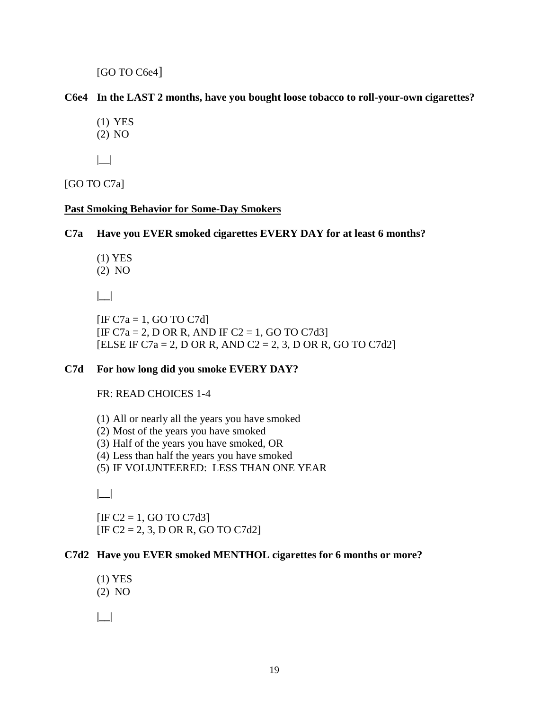[GO TO C6e4]

#### **C6e4 In the LAST 2 months, have you bought loose tobacco to roll-your-own cigarettes?**

- (1) YES
- (2) NO
- $| \_$

[GO TO C7a]

#### **Past Smoking Behavior for Some-Day Smokers**

#### **C7a Have you EVER smoked cigarettes EVERY DAY for at least 6 months?**

- (1) YES
- (2) NO

 **|\_\_|**

 $[IF C7a = 1, GO TO C7d]$  $[IF C7a = 2, D OR R, AND IF C2 = 1, GO TO C7d3]$ [ELSE IF C7a = 2, D OR R, AND C2 = 2, 3, D OR R, GO TO C7d2]

#### **C7d For how long did you smoke EVERY DAY?**

#### FR: READ CHOICES 1-4

(1) All or nearly all the years you have smoked

- (2) Most of the years you have smoked
- (3) Half of the years you have smoked, OR
- (4) Less than half the years you have smoked
- (5) IF VOLUNTEERED: LESS THAN ONE YEAR

**|\_\_|** 

 $[IF C2 = 1, GO TO C7d3]$  $[IF C2 = 2, 3, D OR R, GO TO C7d2]$ 

#### **C7d2 Have you EVER smoked MENTHOL cigarettes for 6 months or more?**

(1) YES (2) NO

 **|\_\_|**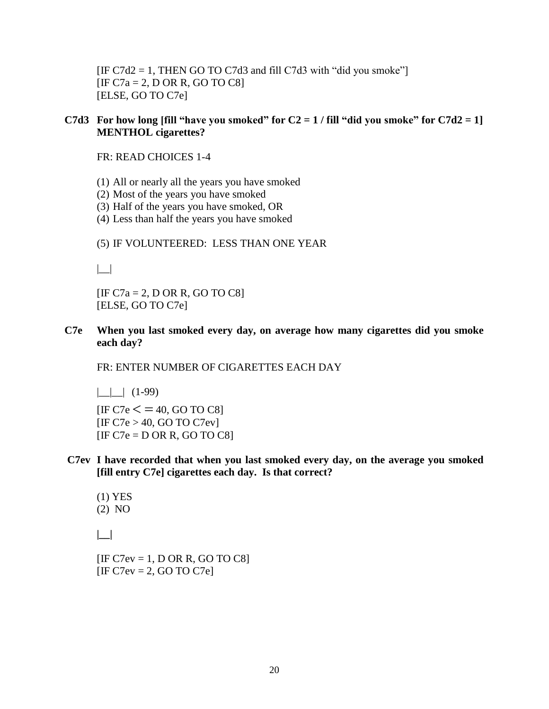$[IF C7d2 = 1, THEN GO TO C7d3 and fill C7d3 with "did you smoke"]$  $[IF C7a = 2, D OR R, GO TO C8]$ [ELSE, GO TO C7e]

#### C7d3 For how long [fill "have you smoked" for  $C2 = 1$  / fill "did you smoke" for  $C7d2 = 1$ ] **MENTHOL cigarettes?**

FR: READ CHOICES 1-4

- (1) All or nearly all the years you have smoked
- (2) Most of the years you have smoked
- (3) Half of the years you have smoked, OR
- (4) Less than half the years you have smoked

(5) IF VOLUNTEERED: LESS THAN ONE YEAR

 $| \_$ 

 $[IF C7a = 2, D OR R, GO TO C8]$ [ELSE, GO TO C7e]

**C7e When you last smoked every day, on average how many cigarettes did you smoke each day?**

FR: ENTER NUMBER OF CIGARETTES EACH DAY

 $|$   $|$   $|$   $(1-99)$  $[IF C7e < = 40, GO TO C8]$ 

 $[IF C7e > 40, GO TO C7ev]$  $[IF C7e = D OR R, GO TO C8]$ 

**C7ev I have recorded that when you last smoked every day, on the average you smoked [fill entry C7e] cigarettes each day. Is that correct?** 

(1) YES (2) NO

 **|\_\_|**

 $[IF C7ev = 1, D OR R, GO TO C8]$  $[IF C7ev = 2, GO TO C7e]$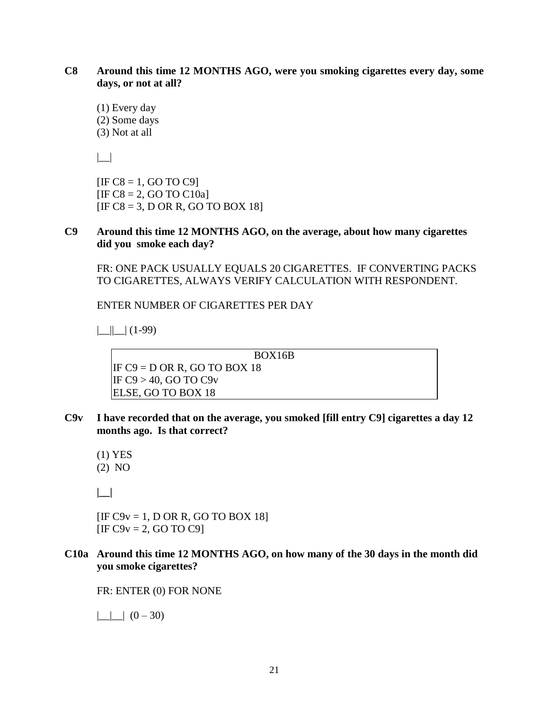#### **C8 Around this time 12 MONTHS AGO, were you smoking cigarettes every day, some days, or not at all?**

(1) Every day (2) Some days (3) Not at all

|\_\_|

 $[IF C8 = 1, GO TO C9]$  $[IF C8 = 2, GO TO C10a]$  $[IF C8 = 3, D OR R, GO TO BOX 18]$ 

#### **C9 Around this time 12 MONTHS AGO, on the average, about how many cigarettes did you smoke each day?**

FR: ONE PACK USUALLY EQUALS 20 CIGARETTES. IF CONVERTING PACKS TO CIGARETTES, ALWAYS VERIFY CALCULATION WITH RESPONDENT.

ENTER NUMBER OF CIGARETTES PER DAY

 $|||||(1-99)$ 

BOX16B IF  $C9 = D$  OR R, GO TO BOX 18 IF  $C9 > 40$ , GO TO  $C9v$ ELSE, GO TO BOX 18

- **C9v I have recorded that on the average, you smoked [fill entry C9] cigarettes a day 12 months ago. Is that correct?**
	- (1) YES (2) NO

**|\_\_|**

 $[IF C9v = 1, D OR R, GO TO BOX 18]$  $[IF C9v = 2, GO TO C9]$ 

**C10a Around this time 12 MONTHS AGO, on how many of the 30 days in the month did you smoke cigarettes?**

FR: ENTER (0) FOR NONE

 $|$   $|$   $|$   $(0 - 30)$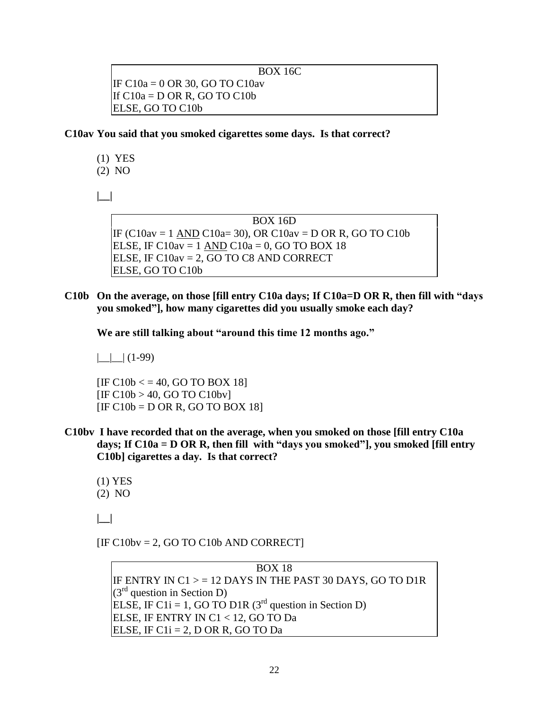BOX 16C

IF C10a = 0 OR 30, GO TO C10av If  $C10a = D$  OR R, GO TO  $C10b$ ELSE, GO TO C10b

**C10av You said that you smoked cigarettes some days. Is that correct?**

- (1) YES
- (2) NO

**|\_\_|**

BOX 16D IF (C10av = 1 AND C10a= 30), OR C10av = D OR R, GO TO C10b ELSE, IF C $10$ av = 1 AND C $10a = 0$ , GO TO BOX 18 ELSE, IF C10av = 2, GO TO C8 AND CORRECT ELSE, GO TO C10b

**C10b On the average, on those [fill entry C10a days; If C10a=D OR R, then fill with "days you smoked"], how many cigarettes did you usually smoke each day?**

**We are still talking about "around this time 12 months ago."**

 $\Box$ | (1-99)

 $[IF C10b < = 40, GO TO BOX 18]$  $[IF C10b > 40, GO TO C10bv]$  $[IF C10b = D OR R, GO TO BOX 18]$ 

- **C10bv I have recorded that on the average, when you smoked on those [fill entry C10a days; If C10a = D OR R, then fill with "days you smoked"], you smoked [fill entry C10b] cigarettes a day. Is that correct?**
	- (1) YES (2) NO

**|\_\_|**

 $[IF C10bv = 2, GO TO C10b AND CORRECT]$ 

BOX 18 IF ENTRY IN  $C1$  > = 12 DAYS IN THE PAST 30 DAYS, GO TO D1R  $(3<sup>rd</sup>$  question in Section D) ELSE, IF C1i = 1, GO TO D1R  $(3<sup>rd</sup>$  question in Section D) ELSE, IF ENTRY IN C1 < 12, GO TO Da ELSE, IF  $C1i = 2$ , D OR R, GO TO Da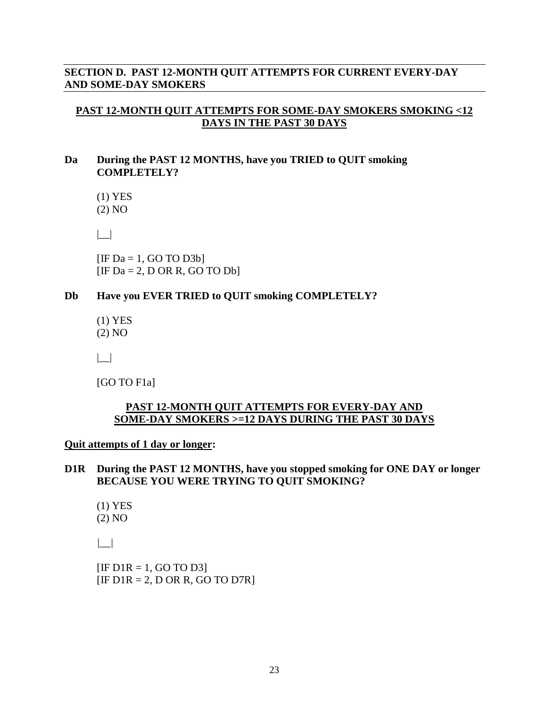#### **SECTION D. PAST 12-MONTH QUIT ATTEMPTS FOR CURRENT EVERY-DAY AND SOME-DAY SMOKERS**

#### **PAST 12-MONTH QUIT ATTEMPTS FOR SOME-DAY SMOKERS SMOKING <12 DAYS IN THE PAST 30 DAYS**

#### **Da During the PAST 12 MONTHS, have you TRIED to QUIT smoking COMPLETELY?**

(1) YES

(2) NO

|\_\_|

 $[IF Da = 1, GO TO D3b]$  $[IF Da = 2, D OR R, GO TO Db]$ 

#### **Db Have you EVER TRIED to QUIT smoking COMPLETELY?**

(1) YES (2) NO

|\_\_|

[GO TO F1a]

#### **PAST 12-MONTH QUIT ATTEMPTS FOR EVERY-DAY AND SOME-DAY SMOKERS >=12 DAYS DURING THE PAST 30 DAYS**

**Quit attempts of 1 day or longer:** 

- **D1R During the PAST 12 MONTHS, have you stopped smoking for ONE DAY or longer BECAUSE YOU WERE TRYING TO QUIT SMOKING?**
	- (1) YES (2) NO

 *|\_\_|*

 $[IF D1R = 1, GO TO D3]$  $[IF D1R = 2, DOR R, GO TO D7R]$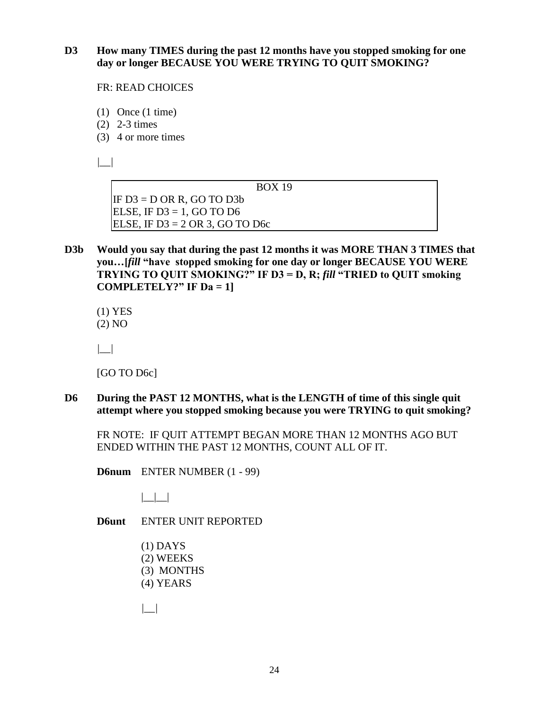**D3 How many TIMES during the past 12 months have you stopped smoking for one day or longer BECAUSE YOU WERE TRYING TO QUIT SMOKING?** 

FR: READ CHOICES

- (1) Once (1 time)
- (2) 2-3 times
- (3) 4 or more times

 *|\_\_|*

BOX 19

IF  $D3 = D$  OR R, GO TO  $D3b$ ELSE, IF  $D3 = 1$ , GO TO D6 ELSE, IF  $D3 = 2$  OR 3, GO TO D6c

**D3b Would you say that during the past 12 months it was MORE THAN 3 TIMES that you…[***fill* **"have stopped smoking for one day or longer BECAUSE YOU WERE TRYING TO QUIT SMOKING?" IF D3 = D, R;** *fill* **"TRIED to QUIT smoking COMPLETELY?"** IF  $Da = 1$ 

 (1) YES (2) NO

 *|\_\_|*

[GO TO D<sub>6c</sub>]

**D6 During the PAST 12 MONTHS, what is the LENGTH of time of this single quit attempt where you stopped smoking because you were TRYING to quit smoking?** 

FR NOTE: IF QUIT ATTEMPT BEGAN MORE THAN 12 MONTHS AGO BUT ENDED WITHIN THE PAST 12 MONTHS, COUNT ALL OF IT.

**D6num** ENTER NUMBER (1 - 99)

 $|\_$ 

**D6unt** ENTER UNIT REPORTED

(1) DAYS (2) WEEKS (3) MONTHS (4) YEARS

 *|\_\_|*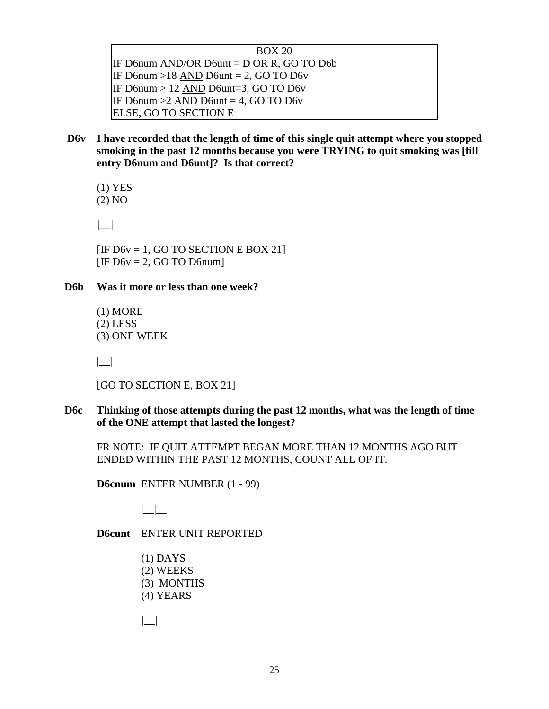BOX 20 IF D6num AND/OR D6unt = D OR R, GO TO D6b IF D6num  $>18$  AND D6unt = 2, GO TO D6v IF D6num > 12 AND D6unt=3, GO TO D6v IF [D6num](mailto:D6@NUM)  $>2$  AND [D6unt](mailto:D6@UNT) = 4, GO TO D6v ELSE, GO TO SECTION E

**D6v I have recorded that the length of time of this single quit attempt where you stopped smoking in the past 12 months because you were TRYING to quit smoking was [fill entry [D6num](mailto:D6@num) and D6unt]? Is that correct?**

(1) YES

(2) NO

*|\_\_|*

[IF D6y = 1, GO TO SECTION E BOX 21]  $[IF D6v = 2, GO TO D6num]$ 

#### **D6b Was it more or less than one week?**

(1) MORE (2) LESS (3) ONE WEEK

 **|\_\_|**

[GO TO SECTION E, BOX 21]

**D6c Thinking of those attempts during the past 12 months, what was the length of time of the ONE attempt that lasted the longest?**

FR NOTE: IF QUIT ATTEMPT BEGAN MORE THAN 12 MONTHS AGO BUT ENDED WITHIN THE PAST 12 MONTHS, COUNT ALL OF IT.

**D6cnum** ENTER NUMBER (1 - 99)

 $|_{-}|_{-}|_{-}|$ 

**D6cunt** ENTER UNIT REPORTED

- (1) DAYS (2) WEEKS (3) MONTHS (4) YEARS
- *|\_\_|*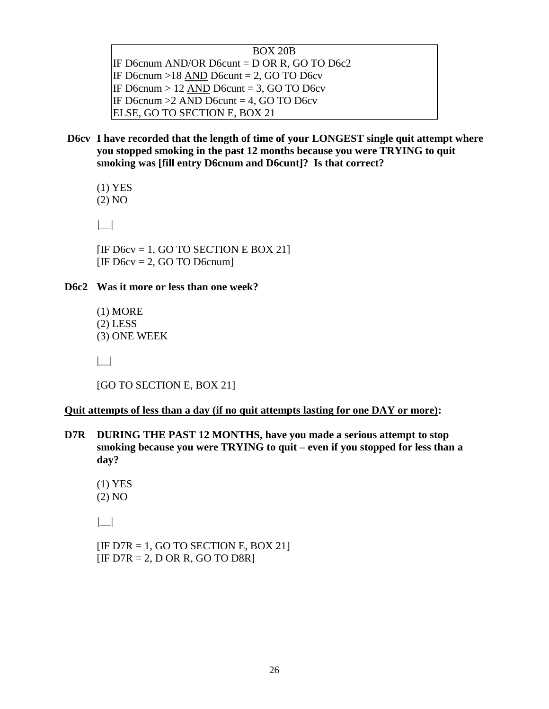| <b>BOX 20B</b>                                 |  |
|------------------------------------------------|--|
| IF D6cnum AND/OR D6cunt = $D$ OR R, GO TO D6c2 |  |
| IF D6cnum >18 AND D6cunt = 2, GO TO D6cv       |  |
| IF D6cnum $> 12$ AND D6cunt = 3, GO TO D6cv    |  |
| IF D6cnum $>2$ AND D6cunt = 4, GO TO D6cv      |  |
| ELSE, GO TO SECTION E, BOX 21                  |  |

**D6cv I have recorded that the length of time of your LONGEST single quit attempt where you stopped smoking in the past 12 months because you were TRYING to quit smoking was [fill entry [D6cnum](mailto:D6@num) and D6cunt]? Is that correct?**

(1) YES

(2) NO

*|\_\_|*

[IF D6cv = 1, GO TO SECTION E BOX 21]  $[IF D6cv = 2, GO TO D6cnum]$ 

#### **D6c2 Was it more or less than one week?**

(1) MORE (2) LESS (3) ONE WEEK

 $|_{-}|$ 

[GO TO SECTION E, BOX 21]

#### **Quit attempts of less than a day (if no quit attempts lasting for one DAY or more):**

**D7R DURING THE PAST 12 MONTHS, have you made a serious attempt to stop smoking because you were TRYING to quit – even if you stopped for less than a day?**

(1) YES (2) NO

*|\_\_|*

 $[IF D7R = 1, GO TO SECTION E, BOX 21]$  $[IF D7R = 2, D OR R, GO TO D8R]$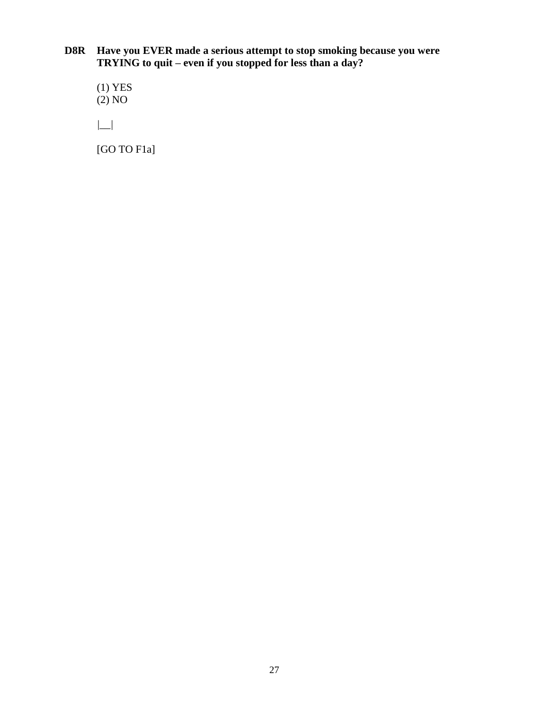**D8R Have you EVER made a serious attempt to stop smoking because you were TRYING to quit – even if you stopped for less than a day?**

(1) YES  $(2)$  NO

*|\_\_|*

[GO TO F1a]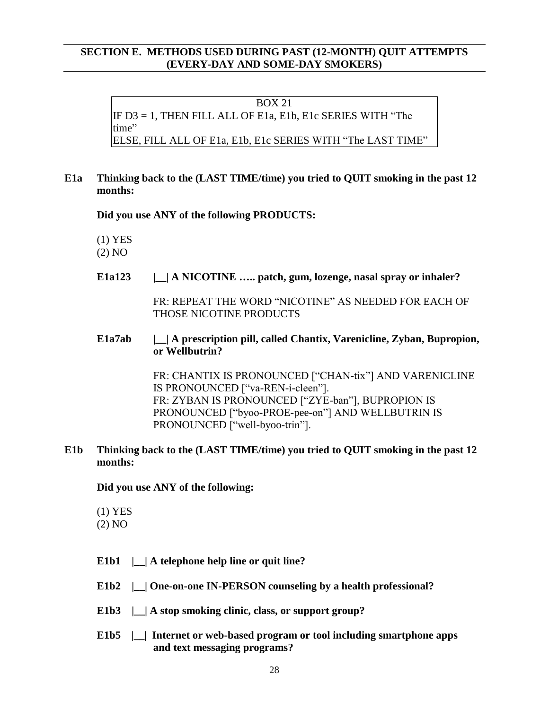#### **SECTION E. METHODS USED DURING PAST (12-MONTH) QUIT ATTEMPTS (EVERY-DAY AND SOME-DAY SMOKERS)**

BOX 21 IF D3 = 1, THEN FILL ALL OF E1a, E1b, E1c SERIES WITH "The time" ELSE, FILL ALL OF E1a, E1b, E1c SERIES WITH "The LAST TIME"

#### **E1a Thinking back to the (LAST TIME/time) you tried to QUIT smoking in the past 12 months:**

 **Did you use ANY of the following PRODUCTS:** 

(1) YES

(2) NO

 **E1a123 |\_\_| A NICOTINE ….. patch, gum, lozenge, nasal spray or inhaler?**

FR: REPEAT THE WORD "NICOTINE" AS NEEDED FOR EACH OF THOSE NICOTINE PRODUCTS

#### **E1a7ab |\_\_| A prescription pill, called Chantix, Varenicline, Zyban, Bupropion, or Wellbutrin?**

FR: CHANTIX IS PRONOUNCED ["CHAN-tix"] AND VARENICLINE IS PRONOUNCED ["va-REN-i-cleen"]. FR: ZYBAN IS PRONOUNCED ["ZYE-ban"], BUPROPION IS PRONOUNCED ["byoo-PROE-pee-on"] AND WELLBUTRIN IS PRONOUNCED ["well-byoo-trin"].

#### **E1b Thinking back to the (LAST TIME/time) you tried to QUIT smoking in the past 12 months:**

 **Did you use ANY of the following:** 

(1) YES

(2) NO

- **E1b1 |\_\_| A telephone help line or quit line?**
- **E1b2 |\_\_| One-on-one IN-PERSON counseling by a health professional?**
- E1b3 | | A stop smoking clinic, class, or support group?
- **E1b5 |\_\_| Internet or web-based program or tool including smartphone apps and text messaging programs?**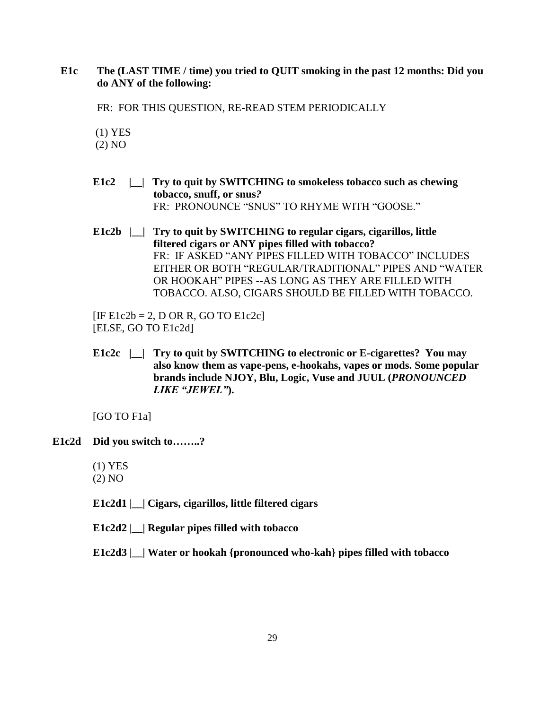#### **E1c The (LAST TIME / time) you tried to QUIT smoking in the past 12 months: Did you do ANY of the following:**

FR: FOR THIS QUESTION, RE-READ STEM PERIODICALLY

(1) YES

(2) NO

- **E1c2 |\_\_| Try to quit by SWITCHING to smokeless tobacco such as chewing tobacco, snuff, or snus***?* FR: PRONOUNCE "SNUS" TO RHYME WITH "GOOSE."
- **E1c2b |\_\_| Try to quit by SWITCHING to regular cigars, cigarillos, little filtered cigars or ANY pipes filled with tobacco?** FR: IF ASKED "ANY PIPES FILLED WITH TOBACCO" INCLUDES EITHER OR BOTH "REGULAR/TRADITIONAL" PIPES AND "WATER OR HOOKAH" PIPES --AS LONG AS THEY ARE FILLED WITH TOBACCO. ALSO, CIGARS SHOULD BE FILLED WITH TOBACCO.

 $[IF E1c2b = 2, D OR R, GO TO E1c2c]$ [ELSE, GO TO E1c2d]

**E1c2c |\_\_| Try to quit by SWITCHING to electronic or E-cigarettes? You may also know them as vape-pens, e-hookahs, vapes or mods. Some popular brands include NJOY, Blu, Logic, Vuse and JUUL (***PRONOUNCED LIKE "JEWEL"***).**

[GO TO F1a]

- **E1c2d Did you switch to……..?**
	- (1) YES
	- (2) NO

**E1c2d1 |\_\_| Cigars, cigarillos, little filtered cigars** 

**E1c2d2 |\_\_| Regular pipes filled with tobacco** 

**E1c2d3 |\_\_| Water or hookah {pronounced who-kah} pipes filled with tobacco**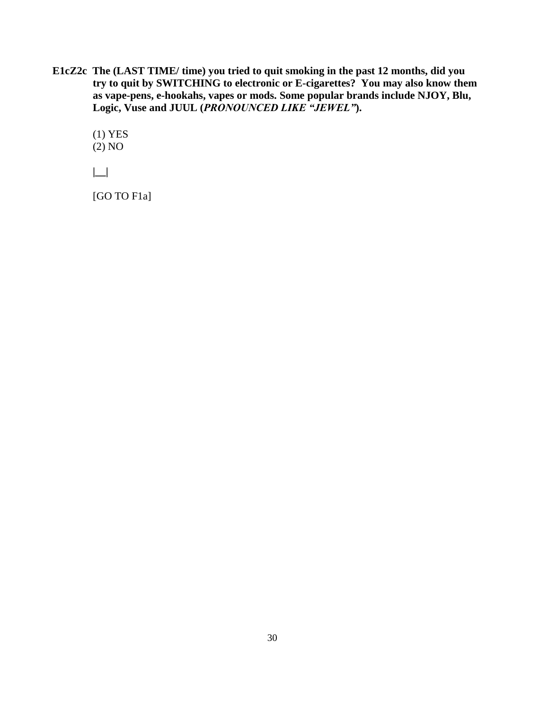**E1cZ2c The (LAST TIME/ time) you tried to quit smoking in the past 12 months, did you try to quit by SWITCHING to electronic or E-cigarettes? You may also know them as vape-pens, e-hookahs, vapes or mods. Some popular brands include NJOY, Blu, Logic, Vuse and JUUL (***PRONOUNCED LIKE "JEWEL"***).**

(1) YES (2) NO

**|\_\_|** 

[GO TO F1a]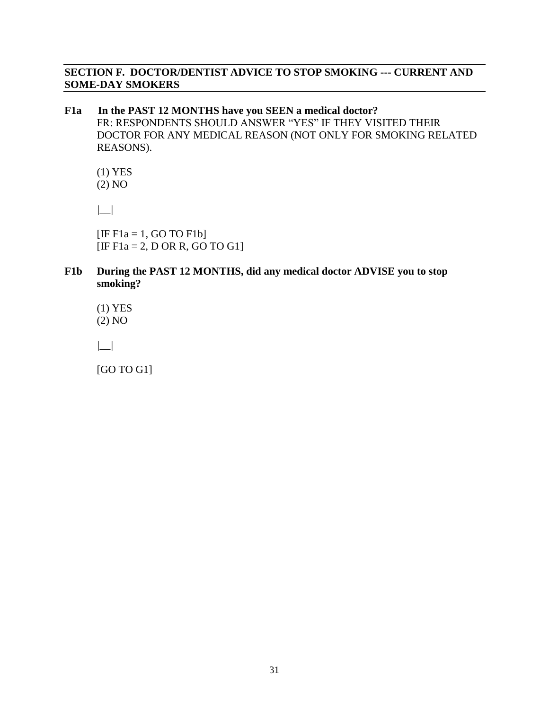#### **SECTION F. DOCTOR/DENTIST ADVICE TO STOP SMOKING --- CURRENT AND SOME-DAY SMOKERS**

#### **F1a In the PAST 12 MONTHS have you SEEN a medical doctor?**  FR: RESPONDENTS SHOULD ANSWER "YES" IF THEY VISITED THEIR DOCTOR FOR ANY MEDICAL REASON (NOT ONLY FOR SMOKING RELATED REASONS).

 (1) YES (2) NO

 *|\_\_|* 

 $[IF F1a = 1, GO TO F1b]$  $[IF F1a = 2, D OR R, GO TO G1]$ 

#### **F1b During the PAST 12 MONTHS, did any medical doctor ADVISE you to stop smoking?**

 (1) YES (2) NO

 *|\_\_|* 

[GO TO G1]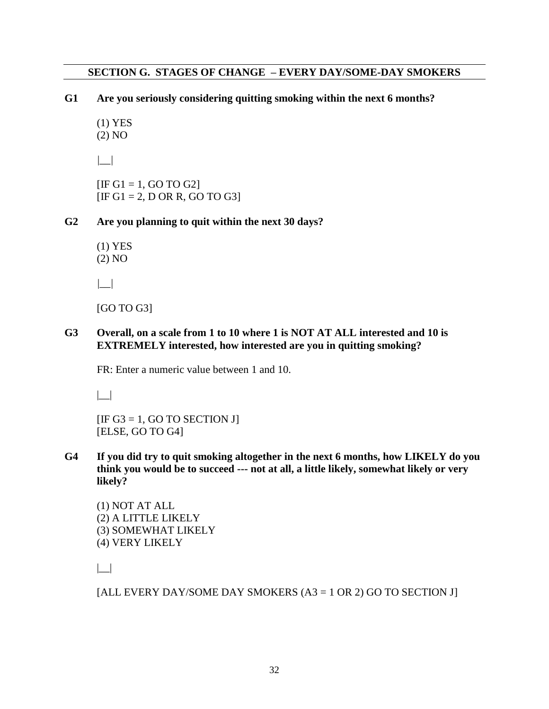#### **SECTION G. STAGES OF CHANGE – EVERY DAY/SOME-DAY SMOKERS**

**G1 Are you seriously considering quitting smoking within the next 6 months?** 

 (1) YES (2) NO

 *|\_\_|* 

 $[IF G1 = 1, GO TO G2]$  $[IF G1 = 2, D OR R, GO TO G3]$ 

**G2 Are you planning to quit within the next 30 days?** 

 (1) YES (2) NO

 *|\_\_|* 

[GO TO G3]

**G3 Overall, on a scale from 1 to 10 where 1 is NOT AT ALL interested and 10 is EXTREMELY interested, how interested are you in quitting smoking?**

FR: Enter a numeric value between 1 and 10.

 $| \_$ 

 $[IF G3 = 1, GO TO SECTION J]$ [ELSE, GO TO G4]

**G4 If you did try to quit smoking altogether in the next 6 months, how LIKELY do you think you would be to succeed --- not at all, a little likely, somewhat likely or very likely?** 

 (1) NOT AT ALL (2) A LITTLE LIKELY (3) SOMEWHAT LIKELY (4) VERY LIKELY

|\_\_|

[ALL EVERY DAY/SOME DAY SMOKERS  $(A3 = 1 \text{ OR } 2)$  GO TO SECTION J]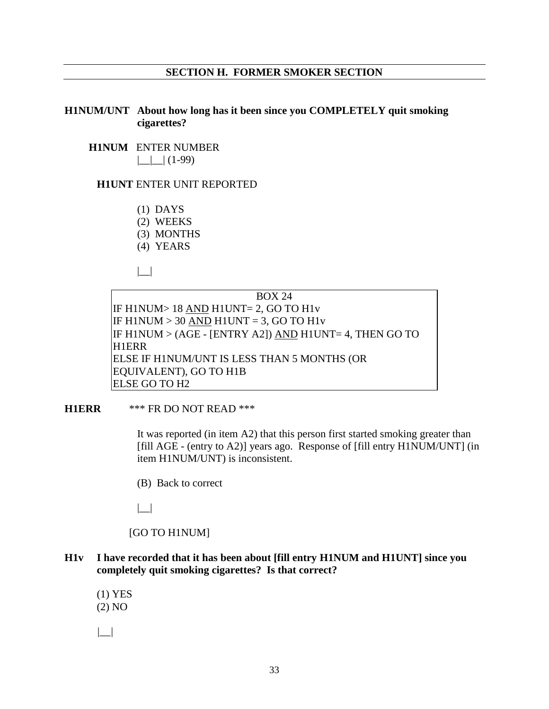#### **SECTION H. FORMER SMOKER SECTION**

#### **H1NUM/UNT About how long has it been since you COMPLETELY quit smoking cigarettes?**

# **H1NUM** ENTER NUMBER

 $|$   $|$   $|$  (1-99)

### **H1UNT** ENTER UNIT REPORTED

- (1) DAYS
- (2) WEEKS
- (3) MONTHS
- (4) YEARS

 $| \cdot |$ 

BOX 24 IF H1NUM> 18 AND H1UNT= 2, GO TO H1v IF H1NUM  $>$  30 AND H1UNT = 3, GO TO H1v IF H1NUM > (AGE - [ENTRY A2]) AND H1UNT= 4, THEN GO TO H1ERR ELSE IF H1NUM/UNT IS LESS THAN 5 MONTHS (OR EQUIVALENT), GO TO H1B ELSE GO TO H2

#### **H1ERR** \*\*\* FR DO NOT READ \*\*\*

 It was reported (in item A2) that this person first started smoking greater than [fill AGE - (entry to A2)] years ago. Response of [fill entry H1NUM/UNT] (in item H1NUM/UNT) is inconsistent.

(B) Back to correct

|\_\_|

[GO TO H1NUM]

**H1v I have recorded that it has been about [fill entry [H1NUM](mailto:H1@num) and H1UNT] since you completely quit smoking cigarettes? Is that correct?**

 (1) YES (2) NO

 *|\_\_|*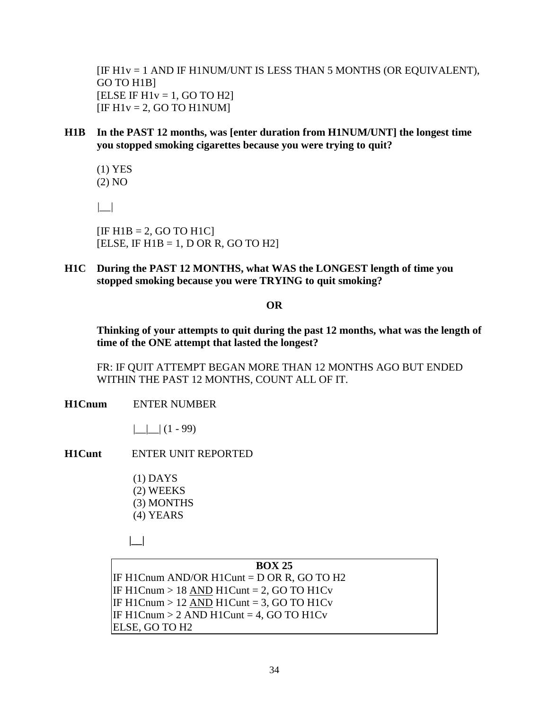[IF H1v = 1 AND IF H1NUM/UNT IS LESS THAN 5 MONTHS (OR EQUIVALENT), GO TO H1B]  $[ELSE IF H1v = 1, GO TO H2]$  $[IF H1v = 2, GO TO H1NUM]$ 

**H1B In the PAST 12 months, was [enter duration from H1NUM/UNT] the longest time you stopped smoking cigarettes because you were trying to quit?**

(1) YES (2) NO

*|\_\_|*

 $[IF H1B = 2, GO TO H1C]$ [ELSE, IF  $H1B = 1$ , D OR R, GO TO H2]

**H1C During the PAST 12 MONTHS, what WAS the LONGEST length of time you stopped smoking because you were TRYING to quit smoking?**

#### **OR**

**Thinking of your attempts to quit during the past 12 months, what was the length of time of the ONE attempt that lasted the longest?**

FR: IF QUIT ATTEMPT BEGAN MORE THAN 12 MONTHS AGO BUT ENDED WITHIN THE PAST 12 MONTHS, COUNT ALL OF IT.

**H1Cnum** ENTER NUMBER

 $|$   $|$   $|$   $(1 - 99)$ 

- **H1Cunt** ENTER UNIT REPORTED
	- (1) DAYS (2) WEEKS (3) MONTHS (4) YEARS
	- **|\_\_|**

**BOX 25** IF H1Cnum AND/OR H1Cunt = D OR R, GO TO H2 IF H1Cnum  $> 18$  AND H1Cunt = 2, GO TO H1Cv IF H1Cnum  $> 12$  AND H1Cunt = 3, GO TO H1Cv IF [H1Cnum](mailto:D6@NUM)  $> 2$  AND [H1Cunt](mailto:D6@UNT) = 4, GO TO H1Cv ELSE, GO TO H2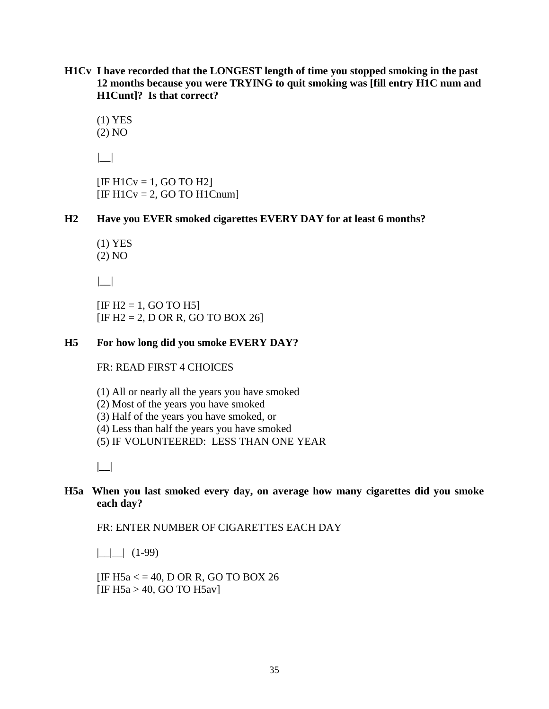**H1Cv I have recorded that the LONGEST length of time you stopped smoking in the past 12 months because you were TRYING to quit smoking was [fill entry [H1C num](mailto:D6@num) and H1Cunt]? Is that correct?**

(1) YES (2) NO

*|\_\_|*

 $[IF H1CV = 1, GO TO H2]$  $[IF H1CV = 2, GO TO H1Cnum]$ 

**H2 Have you EVER smoked cigarettes EVERY DAY for at least 6 months?**

(1) YES (2) NO

*|\_\_|*

 $[IF H2 = 1, GO TO H5]$  $[IF H2 = 2, D OR R, GO TO BOX 26]$ 

#### **H5 For how long did you smoke EVERY DAY?**

FR: READ FIRST 4 CHOICES

(1) All or nearly all the years you have smoked

(2) Most of the years you have smoked

(3) Half of the years you have smoked, or

(4) Less than half the years you have smoked

(5) IF VOLUNTEERED: LESS THAN ONE YEAR

**|\_\_|**

#### **H5a When you last smoked every day, on average how many cigarettes did you smoke each day?**

FR: ENTER NUMBER OF CIGARETTES EACH DAY

 $|$   $|$   $(1-99)$ 

[IF H5a  $\lt$  = 40, D OR R, GO TO BOX 26 [IF H5a  $>$  40, GO TO H5av]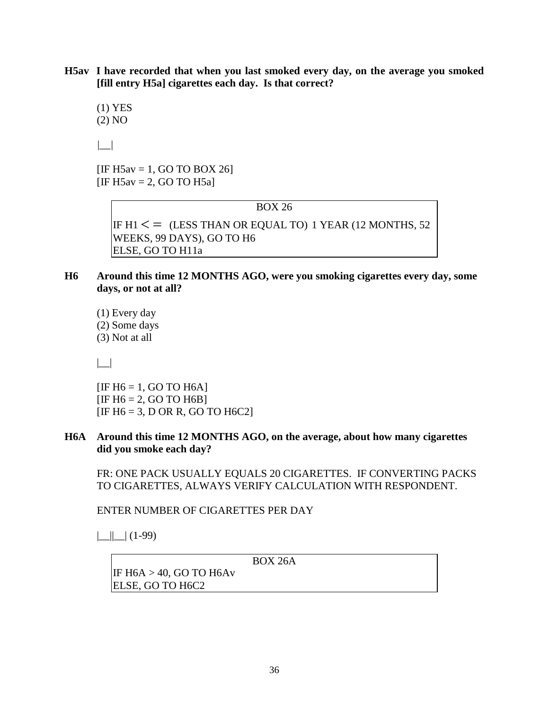**H5av I have recorded that when you last smoked every day, on the average you smoked [fill entry H5a] cigarettes each day. Is that correct?**

(1) YES (2) NO

*|\_\_|*

[IF H5av = 1, GO TO BOX 26]  $[IF H5av = 2, GO TO H5a]$ 

BOX 26

IF  $H1 \leq$  (LESS THAN OR EQUAL TO) 1 YEAR (12 MONTHS, 52) WEEKS, 99 DAYS), GO TO H6 ELSE, GO TO H11a

#### **H6 Around this time 12 MONTHS AGO, were you smoking cigarettes every day, some days, or not at all?**

(1) Every day (2) Some days (3) Not at all

|\_\_|

 $[IF H6 = 1, GO TO H6A]$  $[IF H6 = 2, GO TO H6B]$ [IF  $H6 = 3$ , D OR R, GO TO  $H6C2$ ]

#### **H6A Around this time 12 MONTHS AGO, on the average, about how many cigarettes did you smoke each day?**

FR: ONE PACK USUALLY EQUALS 20 CIGARETTES. IF CONVERTING PACKS TO CIGARETTES, ALWAYS VERIFY CALCULATION WITH RESPONDENT.

ENTER NUMBER OF CIGARETTES PER DAY

 $||$   $||$   $(1-99)$ 

BOX 26A

IF H6A > 40, GO TO H6Av ELSE, GO TO H6C2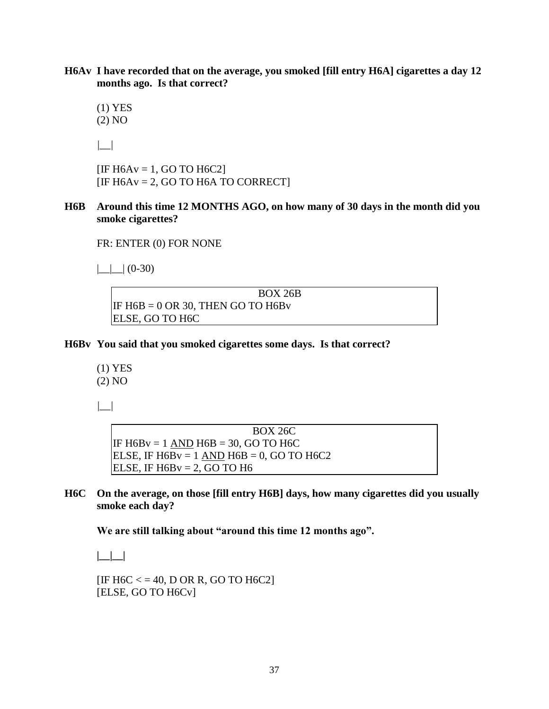**H6Av I have recorded that on the average, you smoked [fill entry H6A] cigarettes a day 12 months ago. Is that correct?**

(1) YES (2) NO

*|\_\_|*

 $[IF H6Av = 1, GO TO H6C2]$  $[IF H6Av = 2, GO TO H6A TO CORRECT]$ 

**H6B Around this time 12 MONTHS AGO, on how many of 30 days in the month did you smoke cigarettes?**

FR: ENTER (0) FOR NONE

 $|$   $|$   $|$  (0-30)

BOX 26B IF  $H6B = 0$  OR 30, THEN GO TO  $H6Bv$ ELSE, GO TO H6C

**H6Bv You said that you smoked cigarettes some days. Is that correct?**

(1) YES (2) NO

*|\_\_|*

BOX 26C IF  $H6Bv = 1$  AND  $H6B = 30$ , GO TO H6C ELSE, IF  $H6Bv = 1$  AND  $H6B = 0$ , GO TO  $H6C2$ ELSE, IF  $H6Bv = 2$ , GO TO H6

**H6C On the average, on those [fill entry H6B] days, how many cigarettes did you usually smoke each day?**

**We are still talking about "around this time 12 months ago".**

**|\_\_|\_\_|** 

 $[IF H6C < = 40, DOR R, GO TO H6C2]$ [ELSE, GO TO H6Cv]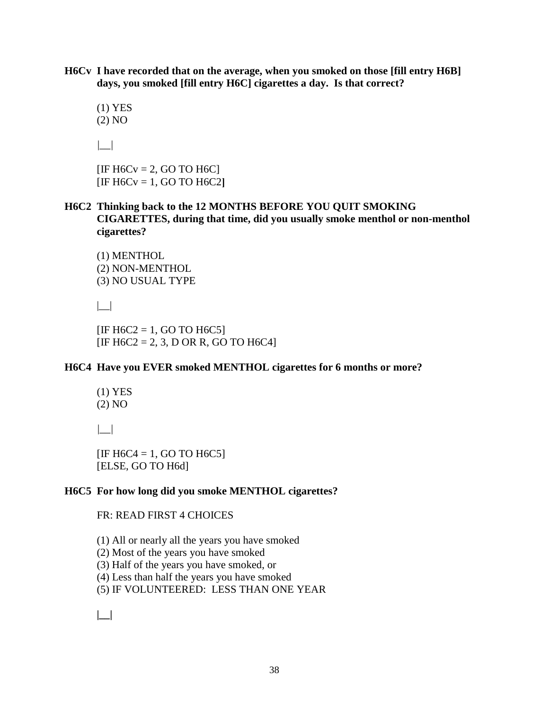**H6Cv I have recorded that on the average, when you smoked on those [fill entry H6B] days, you smoked [fill entry H6C] cigarettes a day. Is that correct?**

(1) YES (2) NO

*|\_\_|*

 $[IF H6CV = 2, GO TO H6C]$ [IF H6Cv = 1, GO TO H6C2**]**

**H6C2 Thinking back to the 12 MONTHS BEFORE YOU QUIT SMOKING CIGARETTES, during that time, did you usually smoke menthol or non-menthol cigarettes?**

(1) MENTHOL (2) NON-MENTHOL (3) NO USUAL TYPE

 $| \_$ 

 $[IF H6C2 = 1, GO TO H6C5]$  $[IF H6C2 = 2, 3, D OR R, GO TO H6C4]$ 

#### **H6C4 Have you EVER smoked MENTHOL cigarettes for 6 months or more?**

(1) YES (2) NO

*|\_\_|*

 $[IF H6C4 = 1, GO TO H6C5]$ [ELSE, GO TO H6d]

#### **H6C5 For how long did you smoke MENTHOL cigarettes?**

#### FR: READ FIRST 4 CHOICES

(1) All or nearly all the years you have smoked

(2) Most of the years you have smoked

(3) Half of the years you have smoked, or

(4) Less than half the years you have smoked

(5) IF VOLUNTEERED: LESS THAN ONE YEAR

**|\_\_|**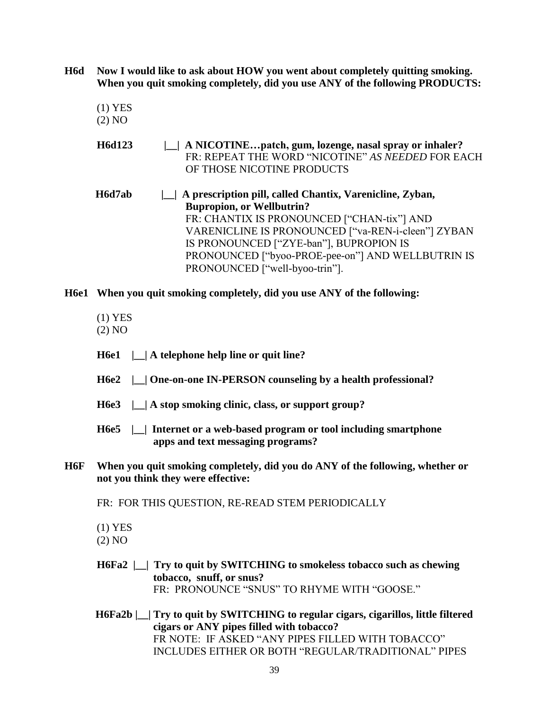**H6d Now I would like to ask about HOW you went about completely quitting smoking. When you quit smoking completely, did you use ANY of the following PRODUCTS:** 

- (1) YES (2) NO
- **H6d123 |\_\_| A NICOTINE…patch, gum, lozenge, nasal spray or inhaler?** FR: REPEAT THE WORD "NICOTINE" *AS NEEDED* FOR EACH OF THOSE NICOTINE PRODUCTS
- **H6d7ab |\_\_| A prescription pill, called Chantix, Varenicline, Zyban, Bupropion, or Wellbutrin?**  FR: CHANTIX IS PRONOUNCED ["CHAN-tix"] AND VARENICLINE IS PRONOUNCED ["va-REN-i-cleen"] ZYBAN IS PRONOUNCED ["ZYE-ban"], BUPROPION IS PRONOUNCED ["byoo-PROE-pee-on"] AND WELLBUTRIN IS PRONOUNCED ["well-byoo-trin"].

#### **H6e1 When you quit smoking completely, did you use ANY of the following:**

- (1) YES
- (2) NO
- **H6e1 |\_\_| A telephone help line or quit line?**
- **H6e2 |\_\_| One-on-one IN-PERSON counseling by a health professional?**
- **H6e3 |\_\_| A stop smoking clinic, class, or support group?**
- **H6e5 |\_\_| Internet or a web-based program or tool including smartphone apps and text messaging programs?**
- **H6F When you quit smoking completely, did you do ANY of the following, whether or not you think they were effective:**
	- FR: FOR THIS QUESTION, RE-READ STEM PERIODICALLY
	- (1) YES

(2) NO

- **H6Fa2 |\_\_| Try to quit by SWITCHING to smokeless tobacco such as chewing tobacco, snuff, or snus?** FR:PRONOUNCE "SNUS" TO RHYME WITH "GOOSE."
- **H6Fa2b |\_\_| Try to quit by SWITCHING to regular cigars, cigarillos, little filtered cigars or ANY pipes filled with tobacco?** FR NOTE: IF ASKED "ANY PIPES FILLED WITH TOBACCO" INCLUDES EITHER OR BOTH "REGULAR/TRADITIONAL" PIPES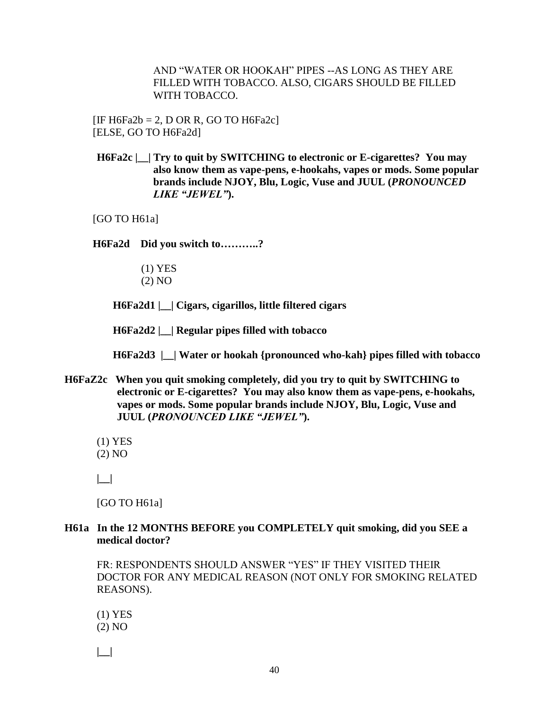AND "WATER OR HOOKAH" PIPES --AS LONG AS THEY ARE FILLED WITH TOBACCO. ALSO, CIGARS SHOULD BE FILLED WITH TOBACCO.

[IF H6Fa2b = 2, D OR R, GO TO H6Fa2c] [ELSE, GO TO H6Fa2d]

**H6Fa2c |\_\_| Try to quit by SWITCHING to electronic or E-cigarettes? You may also know them as vape-pens, e-hookahs, vapes or mods. Some popular brands include NJOY, Blu, Logic, Vuse and JUUL (***PRONOUNCED LIKE "JEWEL"***).**

[GO TO H61a]

**H6Fa2d Did you switch to………..?**

- (1) YES
- (2) NO

**H6Fa2d1 |\_\_| Cigars, cigarillos, little filtered cigars** 

**H6Fa2d2 |\_\_| Regular pipes filled with tobacco** 

 **H6Fa2d3 |\_\_| Water or hookah {pronounced who-kah} pipes filled with tobacco** 

- **H6FaZ2c When you quit smoking completely, did you try to quit by SWITCHING to electronic or E-cigarettes? You may also know them as vape-pens, e-hookahs, vapes or mods. Some popular brands include NJOY, Blu, Logic, Vuse and JUUL (***PRONOUNCED LIKE "JEWEL"***).**
	- (1) YES
	- (2) NO

**|\_\_|** 

[GO TO H61a]

**H61a In the 12 MONTHS BEFORE you COMPLETELY quit smoking, did you SEE a medical doctor?** 

FR: RESPONDENTS SHOULD ANSWER "YES" IF THEY VISITED THEIR DOCTOR FOR ANY MEDICAL REASON (NOT ONLY FOR SMOKING RELATED REASONS).

(1) YES (2) NO

**|\_\_|**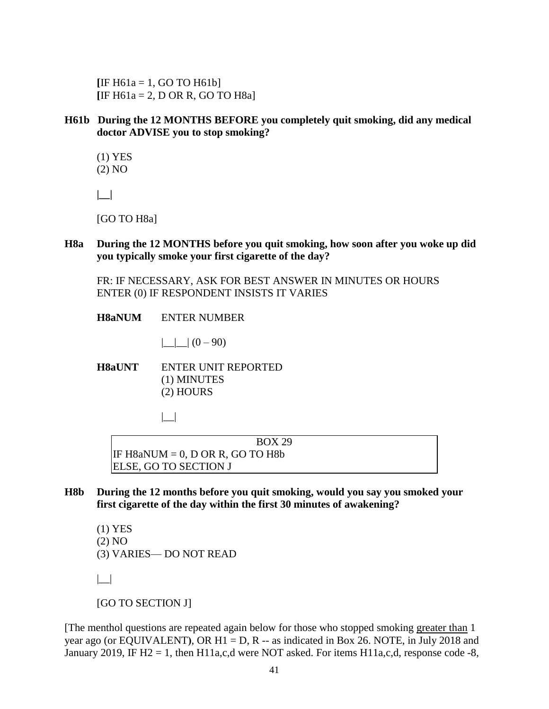$[IF H61a = 1, GO TO H61b]$ **[**IF H61a = 2, D OR R, GO TO H8a]

**H61b During the 12 MONTHS BEFORE you completely quit smoking, did any medical doctor ADVISE you to stop smoking?**

(1) YES (2) NO

**|\_\_|** 

[GO TO H8a]

**H8a During the 12 MONTHS before you quit smoking, how soon after you woke up did you typically smoke your first cigarette of the day?**

FR: IF NECESSARY, ASK FOR BEST ANSWER IN MINUTES OR HOURS ENTER (0) IF RESPONDENT INSISTS IT VARIES

**H8aNUM** ENTER NUMBER

 $| \cdot | (0 - 90)$ 

**H8aUNT** ENTER UNIT REPORTED (1) MINUTES (2) HOURS

|\_\_|

BOX 29 IF  $H8aNUM = 0$ , D OR R, GO TO  $H8b$ ELSE, GO TO SECTION J

**H8b During the 12 months before you quit smoking, would you say you smoked your first cigarette of the day within the first 30 minutes of awakening?**

(1) YES (2) NO (3) VARIES— DO NOT READ  $| \_|$ 

[GO TO SECTION J]

[The menthol questions are repeated again below for those who stopped smoking greater than 1 year ago (or EQUIVALENT), OR H1 = D, R -- as indicated in Box 26. NOTE, in July 2018 and January 2019, IF H2 = 1, then H11a,c,d were NOT asked. For items H11a,c,d, response code -8,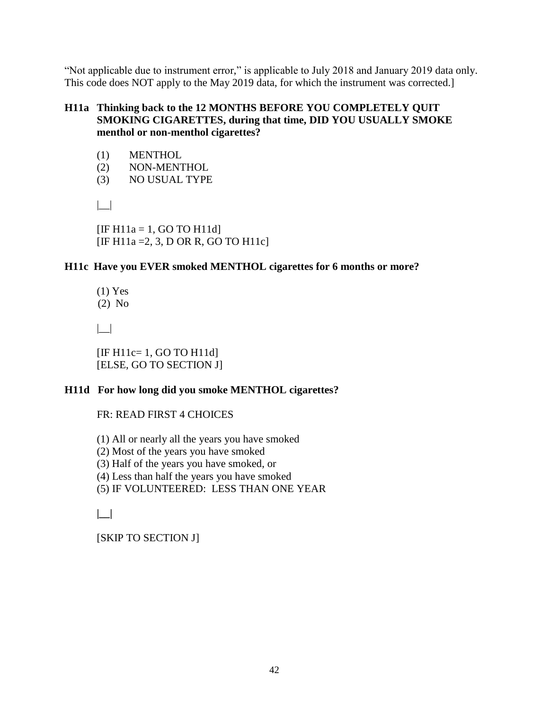"Not applicable due to instrument error," is applicable to July 2018 and January 2019 data only. This code does NOT apply to the May 2019 data, for which the instrument was corrected.]

#### **H11a Thinking back to the 12 MONTHS BEFORE YOU COMPLETELY QUIT SMOKING CIGARETTES, during that time, DID YOU USUALLY SMOKE menthol or non-menthol cigarettes?**

- (1) MENTHOL
- (2) NON-MENTHOL
- (3) NO USUAL TYPE

 $| \cdot |$ 

 $[IF H11a = 1, GO TO H11d]$  $[IF H11a = 2, 3, D OR R, GO TO H11c]$ 

#### **H11c Have you EVER smoked MENTHOL cigarettes for 6 months or more?**

(1) Yes (2) No

|\_\_|

 [IF H11c= 1, GO TO H11d] [ELSE, GO TO SECTION J]

#### **H11d For how long did you smoke MENTHOL cigarettes?**

FR: READ FIRST 4 CHOICES

(1) All or nearly all the years you have smoked

(2) Most of the years you have smoked

(3) Half of the years you have smoked, or

(4) Less than half the years you have smoked

(5) IF VOLUNTEERED: LESS THAN ONE YEAR

**|\_\_|** 

[SKIP TO SECTION J]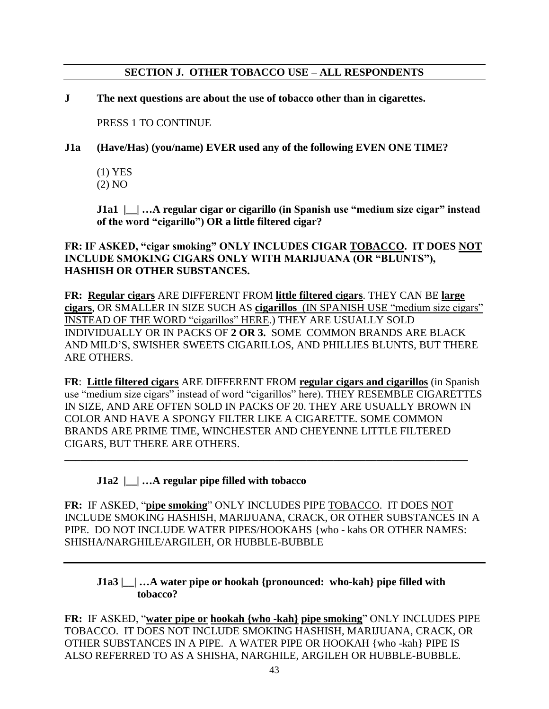#### **SECTION J. OTHER TOBACCO USE – ALL RESPONDENTS**

#### **J The next questions are about the use of tobacco other than in cigarettes.**

PRESS 1 TO CONTINUE

**J1a (Have/Has) (you/name) EVER used any of the following EVEN ONE TIME?** 

(1) YES (2) NO

 **J1a1** | | …A regular cigar or cigarillo (in Spanish use "medium size cigar" instead **of the word "cigarillo") OR a little filtered cigar?** 

#### **FR: IF ASKED, "cigar smoking" ONLY INCLUDES CIGAR TOBACCO. IT DOES NOT INCLUDE SMOKING CIGARS ONLY WITH MARIJUANA (OR "BLUNTS"), HASHISH OR OTHER SUBSTANCES.**

**FR: Regular cigars** ARE DIFFERENT FROM **little filtered cigars**. THEY CAN BE **large cigars**, OR SMALLER IN SIZE SUCH AS **cigarillos** (IN SPANISH USE "medium size cigars" INSTEAD OF THE WORD "cigarillos" HERE.) THEY ARE USUALLY SOLD INDIVIDUALLY OR IN PACKS OF **2 OR 3.** SOME COMMON BRANDS ARE BLACK AND MILD'S, SWISHER SWEETS CIGARILLOS, AND PHILLIES BLUNTS, BUT THERE ARE OTHERS.

**FR**: **Little filtered cigars** ARE DIFFERENT FROM **regular cigars and cigarillos** (in Spanish use "medium size cigars" instead of word "cigarillos" here). THEY RESEMBLE CIGARETTES IN SIZE, AND ARE OFTEN SOLD IN PACKS OF 20. THEY ARE USUALLY BROWN IN COLOR AND HAVE A SPONGY FILTER LIKE A CIGARETTE. SOME COMMON BRANDS ARE PRIME TIME, WINCHESTER AND CHEYENNE LITTLE FILTERED CIGARS, BUT THERE ARE OTHERS.

**\_\_\_\_\_\_\_\_\_\_\_\_\_\_\_\_\_\_\_\_\_\_\_\_\_\_\_\_\_\_\_\_\_\_\_\_\_\_\_\_\_\_\_\_\_\_\_\_\_\_\_\_\_\_\_\_\_\_\_\_\_\_\_\_\_\_\_\_\_\_\_\_\_\_\_** 

#### **J1a2 |\_\_| …A regular pipe filled with tobacco**

**FR:** IF ASKED, "**pipe smoking**" ONLY INCLUDES PIPE TOBACCO. IT DOES NOT INCLUDE SMOKING HASHISH, MARIJUANA, CRACK, OR OTHER SUBSTANCES IN A PIPE. DO NOT INCLUDE WATER PIPES/HOOKAHS {who - kahs OR OTHER NAMES: SHISHA/NARGHILE/ARGILEH, OR HUBBLE-BUBBLE

#### **J1a3 |\_\_| …A water pipe or hookah {pronounced: who-kah} pipe filled with tobacco?**

**FR:** IF ASKED, "**water pipe or hookah {who -kah} pipe smoking**" ONLY INCLUDES PIPE TOBACCO. IT DOES NOT INCLUDE SMOKING HASHISH, MARIJUANA, CRACK, OR OTHER SUBSTANCES IN A PIPE. A WATER PIPE OR HOOKAH {who -kah} PIPE IS ALSO REFERRED TO AS A SHISHA, NARGHILE, ARGILEH OR HUBBLE-BUBBLE.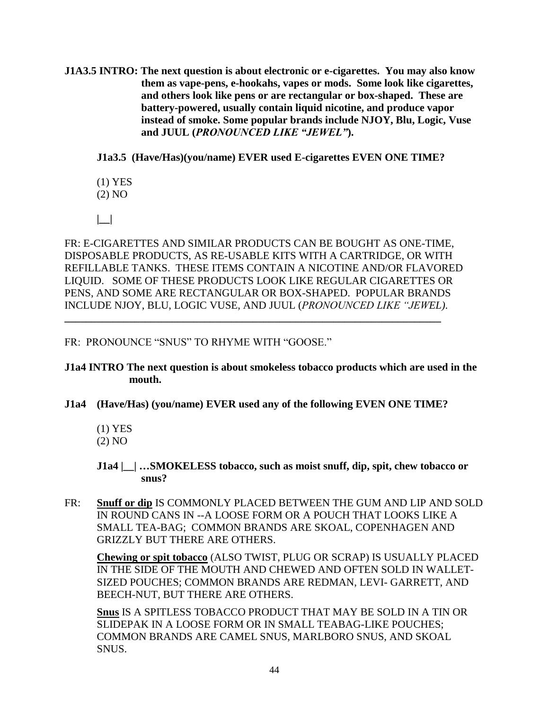**J1A3.5 INTRO: The next question is about electronic or e-cigarettes. You may also know them as vape-pens, e-hookahs, vapes or mods. Some look like cigarettes, and others look like pens or are rectangular or box-shaped. These are battery-powered, usually contain liquid nicotine, and produce vapor instead of smoke. Some popular brands include NJOY, Blu, Logic, Vuse and JUUL (***PRONOUNCED LIKE "JEWEL"***).**

**J1a3.5 (Have/Has)(you/name) EVER used E-cigarettes EVEN ONE TIME?**

(1) YES

(2) NO

**|\_\_|**

FR: E-CIGARETTES AND SIMILAR PRODUCTS CAN BE BOUGHT AS ONE-TIME, DISPOSABLE PRODUCTS, AS RE-USABLE KITS WITH A CARTRIDGE, OR WITH REFILLABLE TANKS. THESE ITEMS CONTAIN A NICOTINE AND/OR FLAVORED LIQUID. SOME OF THESE PRODUCTS LOOK LIKE REGULAR CIGARETTES OR PENS, AND SOME ARE RECTANGULAR OR BOX-SHAPED. POPULAR BRANDS INCLUDE NJOY, BLU, LOGIC VUSE, AND JUUL (*PRONOUNCED LIKE "JEWEL)*. **\_\_\_\_\_\_\_\_\_\_\_\_\_\_\_\_\_\_\_\_\_\_\_\_\_\_\_\_\_\_\_\_\_\_\_\_\_\_\_\_\_\_\_\_\_\_\_\_\_\_\_\_\_\_\_\_\_\_\_\_\_\_\_\_\_\_\_\_\_\_**

# FR: PRONOUNCE "SNUS" TO RHYME WITH "GOOSE."

#### **J1a4 INTRO The next question is about smokeless tobacco products which are used in the mouth.**

## **J1a4 (Have/Has) (you/name) EVER used any of the following EVEN ONE TIME?**

(1) YES

(2) NO

**J1a4 |\_\_| …SMOKELESS tobacco, such as moist snuff, dip, spit, chew tobacco or snus?**

FR: **Snuff or dip** IS COMMONLY PLACED BETWEEN THE GUM AND LIP AND SOLD IN ROUND CANS IN --A LOOSE FORM OR A POUCH THAT LOOKS LIKE A SMALL TEA-BAG; COMMON BRANDS ARE SKOAL, COPENHAGEN AND GRIZZLY BUT THERE ARE OTHERS.

**Chewing or spit tobacco** (ALSO TWIST, PLUG OR SCRAP) IS USUALLY PLACED IN THE SIDE OF THE MOUTH AND CHEWED AND OFTEN SOLD IN WALLET-SIZED POUCHES; COMMON BRANDS ARE REDMAN, LEVI- GARRETT, AND BEECH-NUT, BUT THERE ARE OTHERS.

**Snus** IS A SPITLESS TOBACCO PRODUCT THAT MAY BE SOLD IN A TIN OR SLIDEPAK IN A LOOSE FORM OR IN SMALL TEABAG-LIKE POUCHES; COMMON BRANDS ARE CAMEL SNUS, MARLBORO SNUS, AND SKOAL SNUS.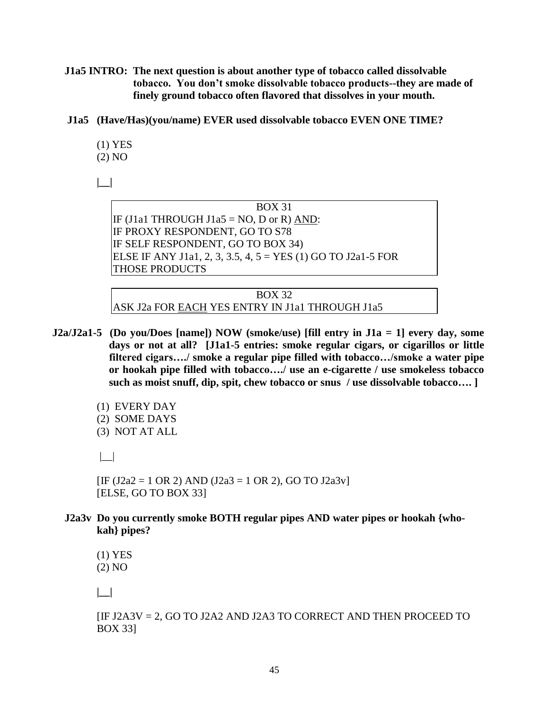**J1a5 INTRO: The next question is about another type of tobacco called dissolvable tobacco. You don't smoke dissolvable tobacco products--they are made of finely ground tobacco often flavored that dissolves in your mouth.**

**J1a5 (Have/Has)(you/name) EVER used dissolvable tobacco EVEN ONE TIME?**

(1) YES (2) NO

**|\_\_|**

BOX 31 IF (J1a1 THROUGH J1a5 = NO, D or R) AND: IF PROXY RESPONDENT, GO TO S78 IF SELF RESPONDENT, GO TO BOX 34) ELSE IF ANY [J1a1,](mailto:J1a@1) 2, 3, 3.5, 4,  $5 = YES(1) GOTO J2a1-5 FOR$ THOSE PRODUCTS

BOX 32 ASK J2a FOR EACH YES ENTRY IN J1a1 THROUGH J1a5

- **J2a/J2a1-5 (Do you/Does [name]) NOW (smoke/use) [fill entry in J1a = 1] every day, some days or not at all? [J1a1-5 entries: smoke regular cigars, or cigarillos or little filtered cigars…./ smoke a regular pipe filled with tobacco…/smoke a water pipe or hookah pipe filled with tobacco…./ use an e-cigarette / use smokeless tobacco such as moist snuff, dip, spit, chew tobacco or snus / use dissolvable tobacco…. ]**
	- (1) EVERY DAY (2) SOME DAYS
	- (3) NOT AT ALL

|\_\_|

 $[IF (J2a2 = 1 OR 2) AND (J2a3 = 1 OR 2), GO TO J2a3v]$ [ELSE, GO TO BOX 33]

**J2a3v Do you currently smoke BOTH regular pipes AND water pipes or hookah {whokah} pipes?**

(1) YES (2) NO

**|\_\_|**

[IF J2A3V = 2, GO TO J2A2 AND J2A3 TO CORRECT AND THEN PROCEED TO BOX 33]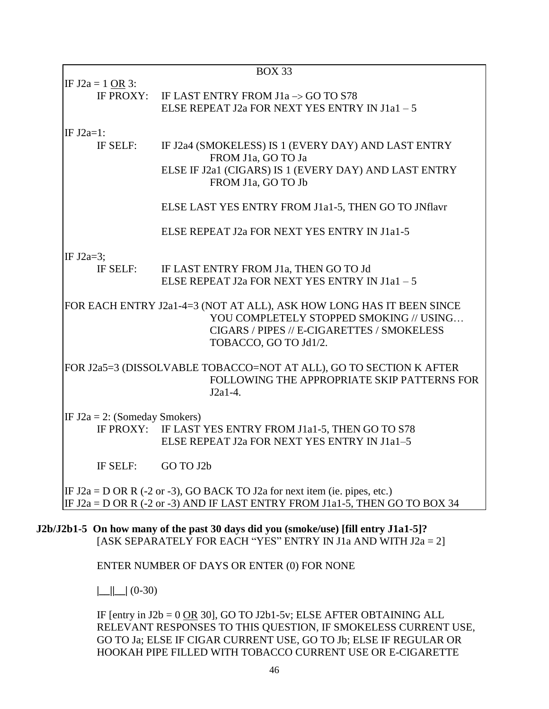|                                  | <b>BOX 33</b>                                                                                                                                                                          |
|----------------------------------|----------------------------------------------------------------------------------------------------------------------------------------------------------------------------------------|
| IF $J2a = 1$ OR 3:               | IF PROXY: IF LAST ENTRY FROM $J1a \rightarrow GO$ TO S78<br>ELSE REPEAT J2a FOR NEXT YES ENTRY IN J1a1 - 5                                                                             |
| IF $J2a=1$ :<br>IF SELF:         | IF J2a4 (SMOKELESS) IS 1 (EVERY DAY) AND LAST ENTRY<br>FROM J1a, GO TO Ja<br>ELSE IF J2a1 (CIGARS) IS 1 (EVERY DAY) AND LAST ENTRY<br>FROM J1a, GO TO Jb                               |
|                                  | ELSE LAST YES ENTRY FROM J1a1-5, THEN GO TO JNflavr                                                                                                                                    |
|                                  | ELSE REPEAT J2a FOR NEXT YES ENTRY IN J1a1-5                                                                                                                                           |
| IF J2a=3;<br>IF SELF:            | IF LAST ENTRY FROM J1a, THEN GO TO Jd<br>ELSE REPEAT J2a FOR NEXT YES ENTRY IN J1a1-5                                                                                                  |
|                                  | FOR EACH ENTRY J2a1-4=3 (NOT AT ALL), ASK HOW LONG HAS IT BEEN SINCE<br>YOU COMPLETELY STOPPED SMOKING // USING<br>CIGARS / PIPES // E-CIGARETTES / SMOKELESS<br>TOBACCO, GO TO Jd1/2. |
|                                  | FOR J2a5=3 (DISSOLVABLE TOBACCO=NOT AT ALL), GO TO SECTION K AFTER<br>FOLLOWING THE APPROPRIATE SKIP PATTERNS FOR<br>$J2a1-4.$                                                         |
| IF $J2a = 2$ : (Someday Smokers) | IF PROXY: IF LAST YES ENTRY FROM J1a1-5, THEN GO TO S78<br>ELSE REPEAT J2a FOR NEXT YES ENTRY IN J1a1-5                                                                                |
| IF SELF:                         | GO TO J2b                                                                                                                                                                              |
|                                  | IF $J2a = D$ OR R (-2 or -3), GO BACK TO J2a for next item (ie. pipes, etc.)<br>IF $J2a = D$ OR R (-2 or -3) AND IF LAST ENTRY FROM J1a1-5, THEN GO TO BOX 34                          |
|                                  | J2b/J2b1-5 On how many of the past 30 days did you (smoke/use) [fill entry J1a1-5]?<br>[ASK SEPARATELY FOR EACH "YES" ENTRY IN J1a AND WITH $J2a = 2$ ]                                |
|                                  | ENTER NUMBER OF DAYS OR ENTER (0) FOR NONE                                                                                                                                             |

**|\_\_||\_\_|** (0-30)

IF [entry in  $J2b = 0$  OR 30], GO TO  $J2b1-5v$ ; ELSE AFTER OBTAINING ALL RELEVANT RESPONSES TO THIS QUESTION, IF SMOKELESS CURRENT USE, GO TO Ja; ELSE IF CIGAR CURRENT USE, GO TO Jb; ELSE IF REGULAR OR HOOKAH PIPE FILLED WITH TOBACCO CURRENT USE OR E-CIGARETTE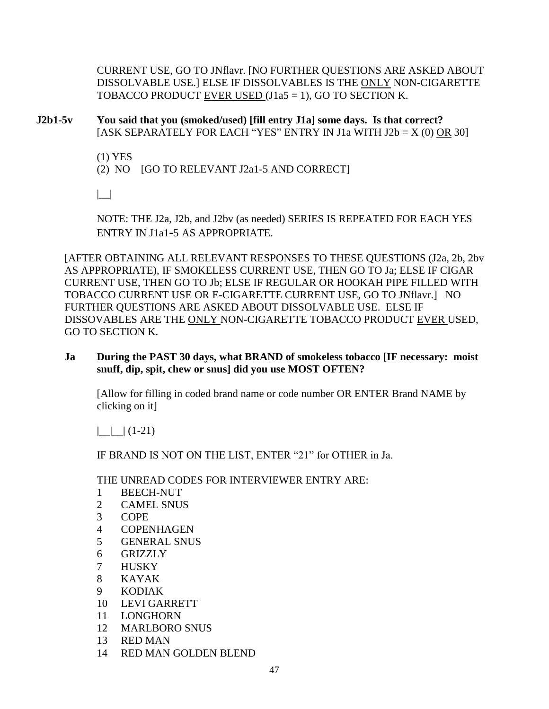CURRENT USE, GO TO JNflavr. [NO FURTHER QUESTIONS ARE ASKED ABOUT DISSOLVABLE USE.] ELSE IF DISSOLVABLES IS THE ONLY NON-CIGARETTE TOBACCO PRODUCT EVER USED  $(J1a5 = 1)$ , GO TO SECTION K.

**J2b1-5v You said that you (smoked/used) [fill entry J1a] some days. Is that correct?** [ASK SEPARATELY FOR EACH "YES" ENTRY IN J1a WITH  $J2b = X(0)$  OR 30]

(1) YES

(2) NO [GO TO RELEVANT J2a1-5 AND CORRECT]

 $| \_$ 

NOTE: THE J2a, J2b, and J2bv (as needed) SERIES IS REPEATED FOR EACH YES ENTRY IN J1a1**-**5 AS APPROPRIATE.

[AFTER OBTAINING ALL RELEVANT RESPONSES TO THESE QUESTIONS (J2a, 2b, 2bv AS APPROPRIATE), IF SMOKELESS CURRENT USE, THEN GO TO Ja; ELSE IF CIGAR CURRENT USE, THEN GO TO Jb; ELSE IF REGULAR OR HOOKAH PIPE FILLED WITH TOBACCO CURRENT USE OR E-CIGARETTE CURRENT USE, GO TO JNflavr.] NO FURTHER QUESTIONS ARE ASKED ABOUT DISSOLVABLE USE. ELSE IF DISSOVABLES ARE THE ONLY NON-CIGARETTE TOBACCO PRODUCT EVER USED, GO TO SECTION K.

**Ja During the PAST 30 days, what BRAND of smokeless tobacco [IF necessary: moist snuff, dip, spit, chew or snus] did you use MOST OFTEN?**

[Allow for filling in coded brand name or code number OR ENTER Brand NAME by clicking on it]

 $| \ \ | \ \ | \ \ (1-21)$ 

IF BRAND IS NOT ON THE LIST, ENTER "21" for OTHER in Ja.

THE UNREAD CODES FOR INTERVIEWER ENTRY ARE:

- 1 BEECH-NUT
- 2 CAMEL SNUS
- 3 COPE
- 4 COPENHAGEN
- 5 GENERAL SNUS
- 6 GRIZZLY
- 7 HUSKY
- 8 KAYAK
- 9 KODIAK
- 10 LEVI GARRETT
- 11 LONGHORN
- 12 MARLBORO SNUS
- 13 RED MAN
- 14 RED MAN GOLDEN BLEND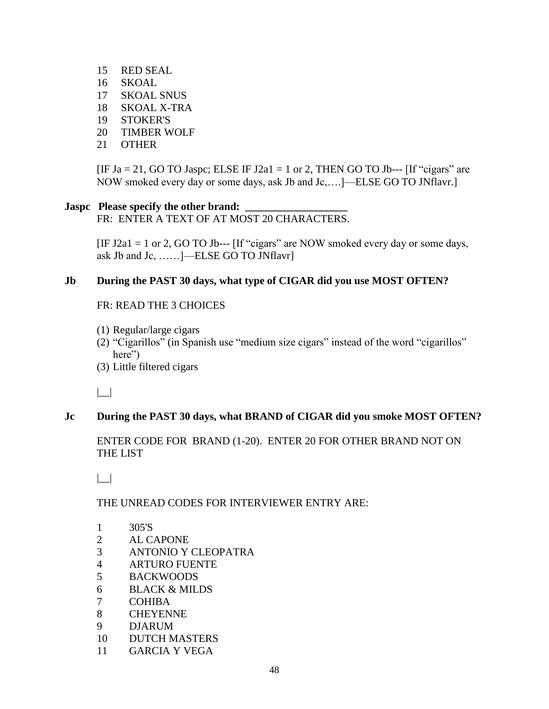15 RED SEAL 16 SKOAL 17 SKOAL SNUS 18 SKOAL X-TRA 19 STOKER'S 20 TIMBER WOLF 21 OTHER

[IF Ja = 21, GO TO Jaspc; ELSE IF J2a1 = 1 or 2, THEN GO TO Jb--- [If "cigars" are NOW smoked every day or some days, ask Jb and Jc,….]—ELSE GO TO JNflavr.]

#### **Jaspc** Please specify the other brand:

FR: ENTER A TEXT OF AT MOST 20 CHARACTERS.

[IF J2a1 = 1 or 2, GO TO Jb--- [If "cigars" are NOW smoked every day or some days, ask Jb and Jc, ……]—ELSE GO TO JNflavr]

#### **Jb During the PAST 30 days, what type of CIGAR did you use MOST OFTEN?**

FR: READ THE 3 CHOICES

- (1) Regular/large cigars
- (2) "Cigarillos" (in Spanish use "medium size cigars" instead of the word "cigarillos" here")
- (3) Little filtered cigars

|\_\_|

#### **Jc During the PAST 30 days, what BRAND of CIGAR did you smoke MOST OFTEN?**

ENTER CODE FOR BRAND (1-20). ENTER 20 FOR OTHER BRAND NOT ON THE LIST

 $| \_$ 

#### THE UNREAD CODES FOR INTERVIEWER ENTRY ARE:

- 1 305'S
- 2 AL CAPONE
- 3 ANTONIO Y CLEOPATRA
- 4 ARTURO FUENTE
- 5 BACKWOODS
- 6 BLACK & MILDS
- 7 COHIBA
- 8 CHEYENNE
- 9 DJARUM
- 10 DUTCH MASTERS
- 11 GARCIA Y VEGA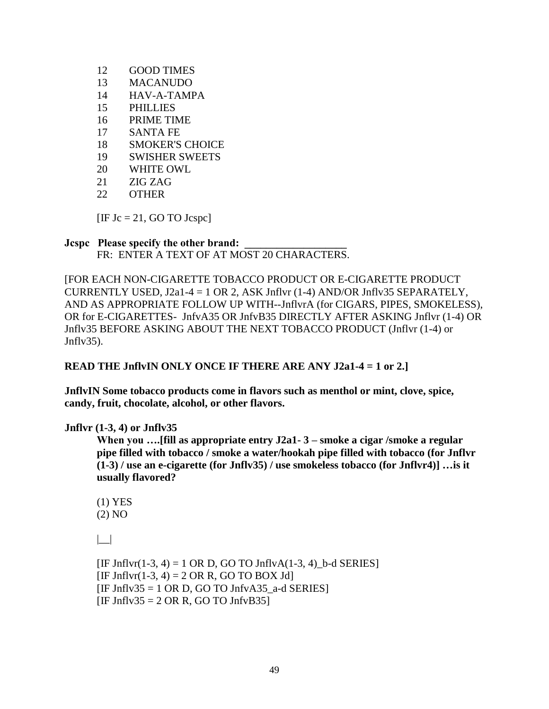- 12 GOOD TIMES
- 13 MACANUDO
- 14 HAV-A-TAMPA
- 15 PHILLIES
- 16 PRIME TIME
- 17 SANTA FE
- 18 SMOKER'S CHOICE
- 19 SWISHER SWEETS
- 20 WHITE OWL
- 21 ZIG ZAG
- 22 OTHER

 $[IF Jc = 21, GO TO Joseph]$ 

#### **Jcspc** Please specify the other brand:

FR: ENTER A TEXT OF AT MOST 20 CHARACTERS.

[FOR EACH NON-CIGARETTE TOBACCO PRODUCT OR E-CIGARETTE PRODUCT CURRENTLY USED,  $J2a1-4 = 1$  OR 2, ASK Jnflvr (1-4) AND/OR Jnflv35 SEPARATELY, AND AS APPROPRIATE FOLLOW UP WITH--JnflvrA (for CIGARS, PIPES, SMOKELESS), OR for E-CIGARETTES- JnfvA35 OR JnfvB35 DIRECTLY AFTER ASKING Jnflvr (1-4) OR Jnflv35 BEFORE ASKING ABOUT THE NEXT TOBACCO PRODUCT (Jnflvr (1-4) or Jnflv35).

**READ THE JnflvIN ONLY ONCE IF THERE ARE ANY J2a1-4 = 1 or 2.]**

**JnflvIN Some tobacco products come in flavors such as menthol or mint, clove, spice, candy, fruit, chocolate, alcohol, or other flavors.**

#### **Jnflvr (1-3, 4) or Jnflv35**

**When you ….[fill as appropriate entry J2a1- 3 – smoke a cigar /smoke a regular pipe filled with tobacco / smoke a water/hookah pipe filled with tobacco (for Jnflvr (1-3) / use an e-cigarette (for Jnflv35) / use smokeless tobacco (for Jnflvr4)] …is it usually flavored?**

```
(1) YES
(2) NO
```
 $| \cdot |$ 

 $[IF Jnflvr(1-3, 4) = 1 \text{ OR } D$ , GO TO JnflvA $(1-3, 4)$  b-d SERIES]  $[IF Jnflvr(1-3, 4) = 2 OR R, GO TO BOX Jd]$  $[IF Jnflv35 = 1 \text{ OR } D, GO \text{ TO } Jnfv435 \text{ a-d} **SERIES]**$  $[IF Jnflv35 = 2 OR R, GO TO JnfvB35]$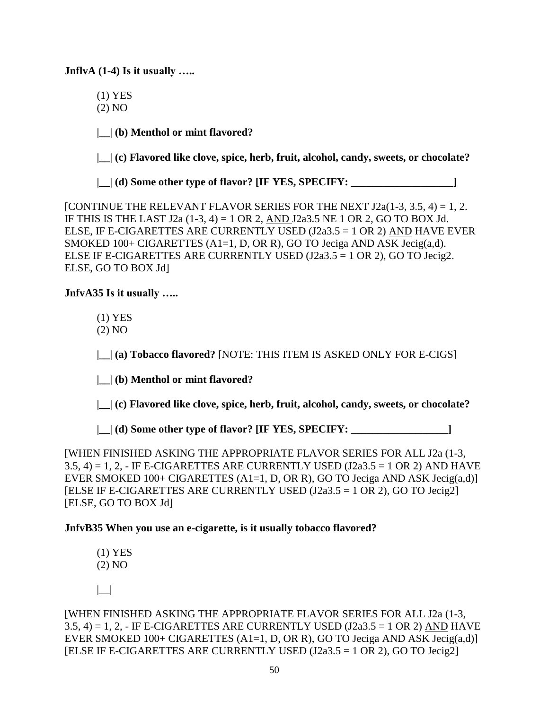**JnflvA (1-4) Is it usually …..**

- (1) YES
- (2) NO

**|\_\_| (b) Menthol or mint flavored?**

**|\_\_| (c) Flavored like clove, spice, herb, fruit, alcohol, candy, sweets, or chocolate?**

**|\_\_| (d) Some other type of flavor? [IF YES, SPECIFY: \_\_\_\_\_\_\_\_\_\_\_\_\_\_\_\_\_\_\_]**

[CONTINUE THE RELEVANT FLAVOR SERIES FOR THE NEXT  $J2a(1-3, 3.5, 4) = 1, 2$ . IF THIS IS THE LAST  $J2a(1-3, 4) = 1$  OR 2, AND  $J2a3.5$  NE 1 OR 2, GO TO BOX Jd. ELSE, IF E-CIGARETTES ARE CURRENTLY USED (J2a3.5 = 1 OR 2) AND HAVE EVER SMOKED 100+ CIGARETTES (A1=1, D, OR R), GO TO Jeciga AND ASK Jecig(a,d). ELSE IF E-CIGARETTES ARE CURRENTLY USED (J2a3.5 = 1 OR 2), GO TO Jecig2. ELSE, GO TO BOX Jd]

#### **JnfvA35 Is it usually …..**

- (1) YES
- (2) NO

**|\_\_| (a) Tobacco flavored?** [NOTE: THIS ITEM IS ASKED ONLY FOR E-CIGS]

**|\_\_| (b) Menthol or mint flavored?**

**|\_\_| (c) Flavored like clove, spice, herb, fruit, alcohol, candy, sweets, or chocolate?**

**|\_\_| (d) Some other type of flavor? [IF YES, SPECIFY: \_\_\_\_\_\_\_\_\_\_\_\_\_\_\_\_\_\_]**

[WHEN FINISHED ASKING THE APPROPRIATE FLAVOR SERIES FOR ALL J2a (1-3,  $3.5, 4$ ) = 1, 2, - IF E-CIGARETTES ARE CURRENTLY USED (J2a $3.5 = 1$  OR 2) AND HAVE EVER SMOKED  $100+$  CIGARETTES (A1=1, D, OR R), GO TO Jeciga AND ASK Jecig(a,d)] [ELSE IF E-CIGARETTES ARE CURRENTLY USED  $(J2a3.5 = 1 \text{ OR } 2)$ , GO TO Jecig2] [ELSE, GO TO BOX Jd]

#### **JnfvB35 When you use an e-cigarette, is it usually tobacco flavored?**

(1) YES (2) NO

 $| \_$ 

[WHEN FINISHED ASKING THE APPROPRIATE FLAVOR SERIES FOR ALL J2a (1-3,  $3.5, 4$ ) = 1, 2, - IF E-CIGARETTES ARE CURRENTLY USED (J2a $3.5 = 1$  OR 2) AND HAVE EVER SMOKED  $100+$  CIGARETTES (A1=1, D, OR R), GO TO Jeciga AND ASK Jecig(a,d) [ELSE IF E-CIGARETTES ARE CURRENTLY USED  $(J2a3.5 = 1 \text{ OR } 2)$ , GO TO Jecig2]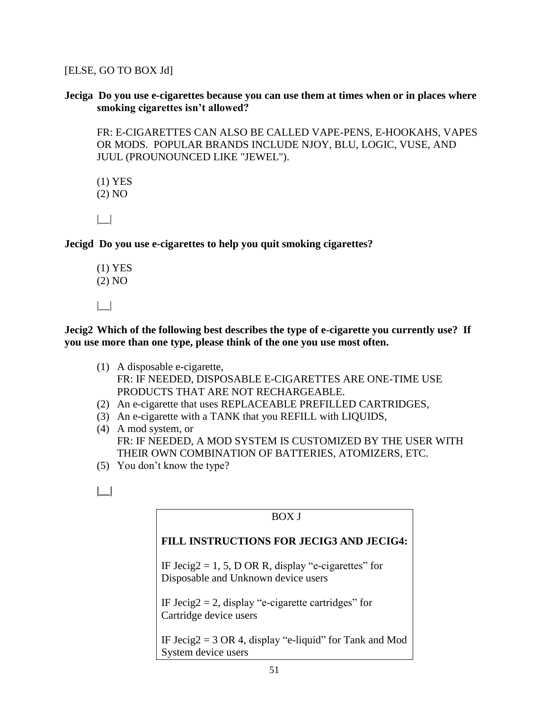[ELSE, GO TO BOX Jd]

**Jeciga Do you use e-cigarettes because you can use them at times when or in places where smoking cigarettes isn't allowed?** 

FR: E-CIGARETTES CAN ALSO BE CALLED VAPE-PENS, E-HOOKAHS, VAPES OR MODS. POPULAR BRANDS INCLUDE NJOY, BLU, LOGIC, VUSE, AND JUUL (PROUNOUNCED LIKE "JEWEL").

(1) YES (2) NO  $| \_$ 

**Jecigd Do you use e-cigarettes to help you quit smoking cigarettes?** 

(1) YES (2) NO |\_\_|

**Jecig2 Which of the following best describes the type of e-cigarette you currently use? If you use more than one type, please think of the one you use most often.** 

- (1) A disposable e-cigarette, FR: IF NEEDED, DISPOSABLE E-CIGARETTES ARE ONE-TIME USE PRODUCTS THAT ARE NOT RECHARGEABLE.
- (2) An e-cigarette that uses REPLACEABLE PREFILLED CARTRIDGES,
- (3) An e-cigarette with a TANK that you REFILL with LIQUIDS,
- (4) A mod system, or FR: IF NEEDED, A MOD SYSTEM IS CUSTOMIZED BY THE USER WITH THEIR OWN COMBINATION OF BATTERIES, ATOMIZERS, ETC.
- (5) You don't know the type?
- **|\_\_|**

# BOX J **FILL INSTRUCTIONS FOR JECIG3 AND JECIG4:**  IF Jecig2 = 1, 5, D OR R, display "e-cigarettes" for Disposable and Unknown device users IF Jecig $2 = 2$ , display "e-cigarette cartridges" for Cartridge device users IF Jecig $2 = 3$  OR 4, display "e-liquid" for Tank and Mod System device users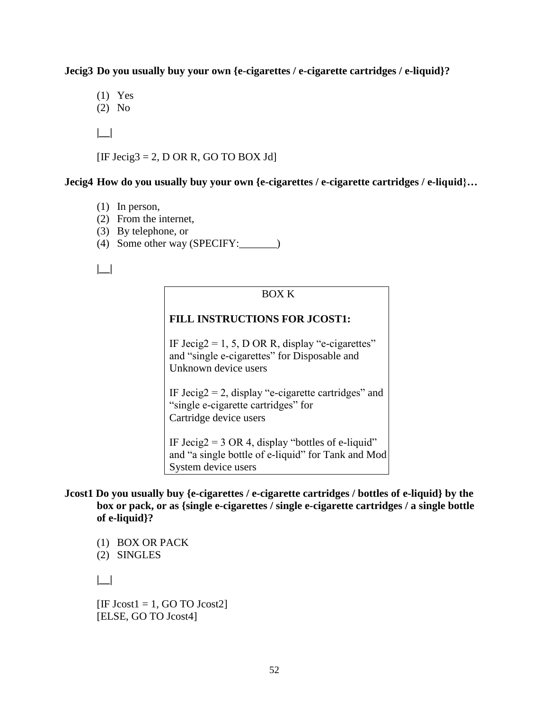**Jecig3 Do you usually buy your own {e-cigarettes / e-cigarette cartridges / e-liquid}?** 

(1) Yes

(2) No

**|\_\_|** 

[IF Jecig3 = 2, D OR R, GO TO BOX Jd]

#### **Jecig4 How do you usually buy your own {e-cigarettes / e-cigarette cartridges / e-liquid}…**

- (1) In person,
- (2) From the internet,
- (3) By telephone, or
- (4) Some other way (SPECIFY:\_\_\_\_\_\_\_)

**|\_\_|** 

#### BOX K

#### **FILL INSTRUCTIONS FOR JCOST1:**

IF Jecig2 = 1, 5, D OR R, display "e-cigarettes" and "single e-cigarettes" for Disposable and Unknown device users

IF Jecig $2 = 2$ , display "e-cigarette cartridges" and "single e-cigarette cartridges" for Cartridge device users

IF Jecig2 =  $3 \text{ OR } 4$ , display "bottles of e-liquid" and "a single bottle of e-liquid" for Tank and Mod System device users

- **Jcost1 Do you usually buy {e-cigarettes / e-cigarette cartridges / bottles of e-liquid} by the box or pack, or as {single e-cigarettes / single e-cigarette cartridges / a single bottle of e-liquid}?** 
	- (1) BOX OR PACK

(2) SINGLES

**|\_\_|** 

 $[IF Jcost1 = 1, GO TO Jcost2]$ [ELSE, GO TO Jcost4]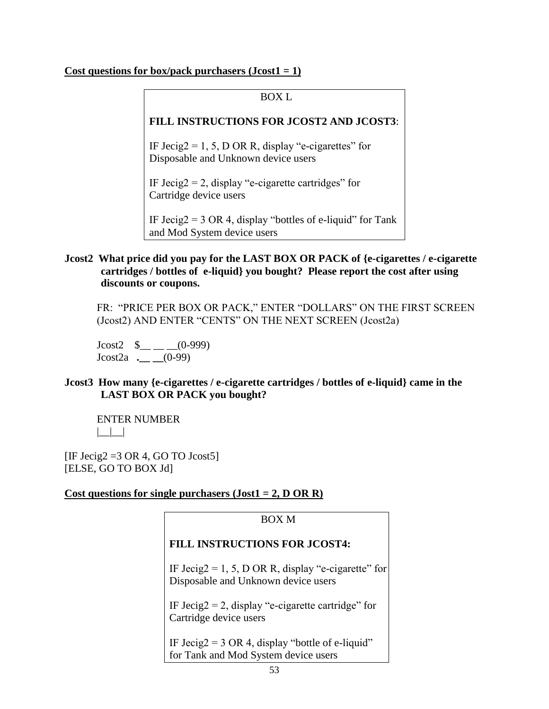#### **Cost questions for box/pack purchasers (Jcost1 = 1)**

# BOX L **FILL INSTRUCTIONS FOR JCOST2 AND JCOST3**: IF Jecig2 = 1, 5, D OR R, display "e-cigarettes" for Disposable and Unknown device users IF Jecig $2 = 2$ , display "e-cigarette cartridges" for Cartridge device users IF Jecig $2 = 3$  OR 4, display "bottles of e-liquid" for Tank and Mod System device users

#### **Jcost2 What price did you pay for the LAST BOX OR PACK of {e-cigarettes / e-cigarette cartridges / bottles of e-liquid} you bought? Please report the cost after using discounts or coupons.**

 FR: "PRICE PER BOX OR PACK," ENTER "DOLLARS" ON THE FIRST SCREEN (Jcost2) AND ENTER "CENTS" ON THE NEXT SCREEN (Jcost2a)

 $J\text{cost2}$  \$\_\_ \_ (0-999) Jcost2a **.\_\_ \_\_**(0-99)

#### **Jcost3 How many {e-cigarettes / e-cigarette cartridges / bottles of e-liquid} came in the LAST BOX OR PACK you bought?**

ENTER NUMBER  $|$ 

[IF Jecig2 = 3 OR 4, GO TO J $cost5$ ] [ELSE, GO TO BOX Jd]

#### **Cost questions for single purchasers (Jost1 = 2, D OR R)**

| ROX M                                                                                      |  |  |
|--------------------------------------------------------------------------------------------|--|--|
| <b>FILL INSTRUCTIONS FOR JCOST4:</b>                                                       |  |  |
| IF Jecig2 = 1, 5, D OR R, display "e-cigarette" for<br>Disposable and Unknown device users |  |  |
| IF Jecig2 = 2, display "e-cigarette cartridge" for<br>Cartridge device users               |  |  |
| IF Jecig2 = 3 OR 4, display "bottle of e-liquid"<br>for Tank and Mod System device users   |  |  |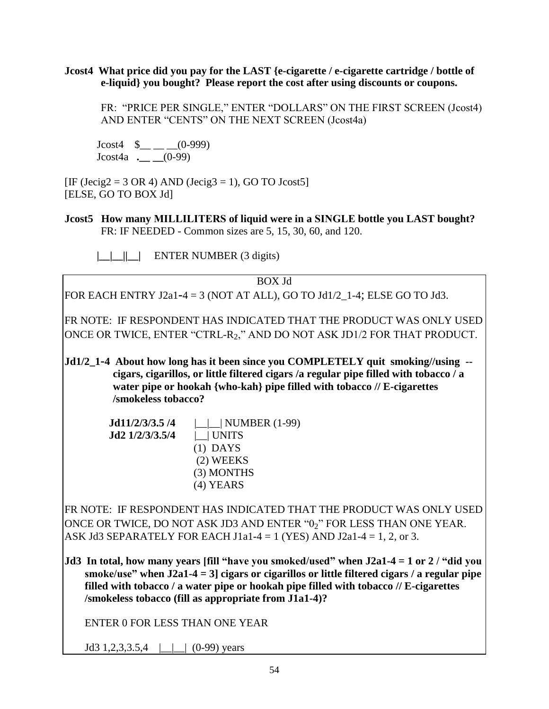**Jcost4 What price did you pay for the LAST {e-cigarette / e-cigarette cartridge / bottle of e-liquid} you bought? Please report the cost after using discounts or coupons.**

FR: "PRICE PER SINGLE," ENTER "DOLLARS" ON THE FIRST SCREEN (Jcost4) AND ENTER "CENTS" ON THE NEXT SCREEN (Jcost4a)

 $J\text{cost4}$  \$\_\_\_(0-999) Jcost4a **.\_\_ \_\_**(0-99)

 $[IF (Jecig2 = 3 OR 4) AND (Jecig3 = 1), GO TO Jcost5]$ [ELSE, GO TO BOX Jd]

- **Jcost5 How many MILLILITERS of liquid were in a SINGLE bottle you LAST bought?**  FR: IF NEEDED - Common sizes are 5, 15, 30, 60, and 120.
	- **|\_\_|\_\_||\_\_|** ENTER NUMBER (3 digits)

BOX Jd FOR EACH ENTRY J2a1**-**4 = 3 (NOT AT ALL), GO TO Jd1/2\_1-4; ELSE GO TO Jd3.

FR NOTE: IF RESPONDENT HAS INDICATED THAT THE PRODUCT WAS ONLY USED ONCE OR TWICE, ENTER "CTRL-R2," AND DO NOT ASK JD1/2 FOR THAT PRODUCT.

**Jd1/2\_1-4 About how long has it been since you COMPLETELY quit smoking//using - cigars, cigarillos, or little filtered cigars /a regular pipe filled with tobacco / a water pipe or hookah {who-kah} pipe filled with tobacco // E-cigarettes /smokeless tobacco?**

> **Jd11/2/3/3.5 /4** |\_\_|\_\_| NUMBER (1-99) **Jd2 1/2/3/3.5/4** | **LUNITS** (1) DAYS (2) WEEKS (3) MONTHS (4) YEARS

FR NOTE: IF RESPONDENT HAS INDICATED THAT THE PRODUCT WAS ONLY USED ONCE OR TWICE, DO NOT ASK JD3 AND ENTER "02" FOR LESS THAN ONE YEAR. ASK Jd3 SEPARATELY FOR EACH J1a1**-**4 = 1 (YES) AND J2a1-4 = 1, 2, or 3.

**Jd3 In total, how many years [fill "have you smoked/used" when J2a1-4 = 1 or 2 / "did you smoke/use" when J2a1-4 = 3] cigars or cigarillos or little filtered cigars / a regular pipe filled with tobacco / a water pipe or hookah pipe filled with tobacco // E-cigarettes /smokeless tobacco (fill as appropriate from J1a1-4)?**

ENTER 0 FOR LESS THAN ONE YEAR

Jd3 1,2,3,3.5,4  $\Box$  (0-99) years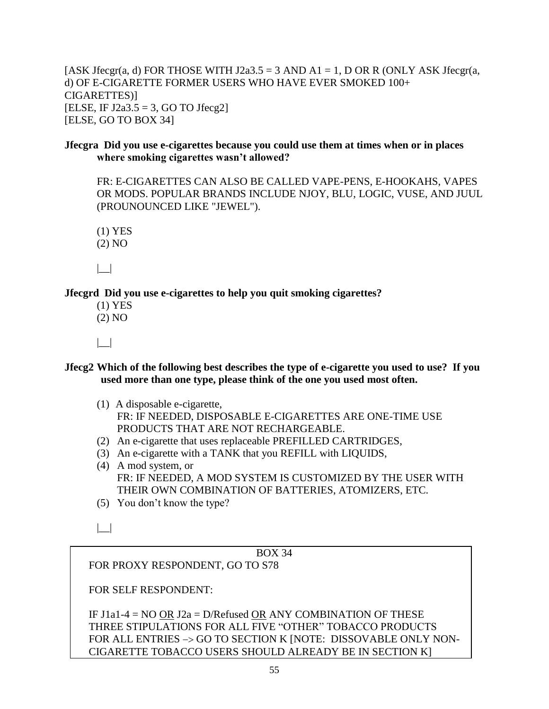[ASK Jfecgr(a, d) FOR THOSE WITH J2a3.5 = 3 AND A1 = 1, D OR R (ONLY ASK Jfecgr(a, d) OF E-CIGARETTE FORMER USERS WHO HAVE EVER SMOKED 100+ CIGARETTES)] [ELSE, IF J2a3.5 = 3, GO TO Jfecg2] [ELSE, GO TO BOX 34]

#### **Jfecgra Did you use e-cigarettes because you could use them at times when or in places where smoking cigarettes wasn't allowed?**

FR: E-CIGARETTES CAN ALSO BE CALLED VAPE-PENS, E-HOOKAHS, VAPES OR MODS. POPULAR BRANDS INCLUDE NJOY, BLU, LOGIC, VUSE, AND JUUL (PROUNOUNCED LIKE "JEWEL").

(1) YES

(2) NO

|\_\_|

**Jfecgrd Did you use e-cigarettes to help you quit smoking cigarettes?** 

- (1) YES (2) NO
- $| \_|$
- **Jfecg2 Which of the following best describes the type of e-cigarette you used to use? If you used more than one type, please think of the one you used most often.** 
	- (1) A disposable e-cigarette, FR: IF NEEDED, DISPOSABLE E-CIGARETTES ARE ONE-TIME USE PRODUCTS THAT ARE NOT RECHARGEABLE.
	- (2) An e-cigarette that uses replaceable PREFILLED CARTRIDGES,
	- (3) An e-cigarette with a TANK that you REFILL with LIQUIDS,
	- (4) A mod system, or FR: IF NEEDED, A MOD SYSTEM IS CUSTOMIZED BY THE USER WITH THEIR OWN COMBINATION OF BATTERIES, ATOMIZERS, ETC.
	- (5) You don't know the type?

 $| \cdot |$ 

# BOX 34

FOR PROXY RESPONDENT, GO TO S78

FOR SELF RESPONDENT:

IF J1a1-4 = NO OR J2a = D/Refused OR ANY COMBINATION OF THESE THREE STIPULATIONS FOR ALL FIVE "OTHER" TOBACCO PRODUCTS FOR ALL ENTRIES  $\rightarrow$  GO TO SECTION K [NOTE: DISSOVABLE ONLY NON-CIGARETTE TOBACCO USERS SHOULD ALREADY BE IN SECTION K]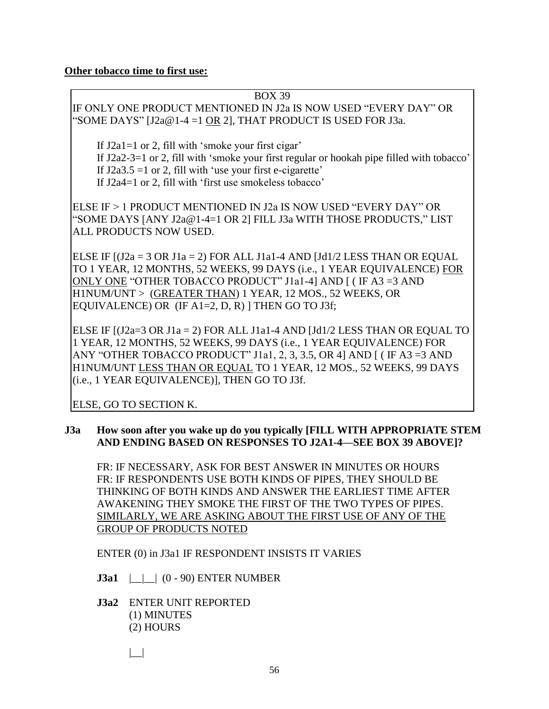#### **Other tobacco time to first use:**

#### BOX 39 IF ONLY ONE PRODUCT MENTIONED IN J2a IS NOW USED "EVERY DAY" OR "SOME DAYS" [J2a@1-4 =1 OR 2], THAT PRODUCT IS USED FOR J3a.

If J2a1=1 or 2, fill with 'smoke your first cigar' If J2a2-3=1 or 2, fill with 'smoke your first regular or hookah pipe filled with tobacco' If  $J2a3.5 = 1$  or 2, fill with 'use your first e-cigarette' If J2a4=1 or 2, fill with 'first use smokeless tobacco'

ELSE IF > 1 PRODUCT MENTIONED IN J2a IS NOW USED "EVERY DAY" OR "SOME DAYS [ANY J2a@1-4=1 OR 2] FILL J3a WITH THOSE PRODUCTS," LIST ALL PRODUCTS NOW USED.

ELSE IF  $[(J2a = 3 \text{ OR } J1a = 2)$  FOR ALL J1a1-4 AND  $[Jd1/2$  LESS THAN OR EQUAL TO 1 YEAR, 12 MONTHS, 52 WEEKS, 99 DAYS (i.e., 1 YEAR EQUIVALENCE) FOR ONLY ONE "OTHER TOBACCO PRODUCT" J1a1-4] AND [ ( IF A3 =3 AND H1NUM/UNT > (GREATER THAN) 1 YEAR, 12 MOS., 52 WEEKS, OR EQUIVALENCE) OR  $(IF A1=2, D, R)$  THEN GO TO J3f;

ELSE IF [(J2a=3 OR J1a = 2) FOR ALL J1a1-4 AND [Jd1/2 LESS THAN OR EQUAL TO 1 YEAR, 12 MONTHS, 52 WEEKS, 99 DAYS (i.e., 1 YEAR EQUIVALENCE) FOR ANY "OTHER TOBACCO PRODUCT" J1a1, 2, 3, 3.5, OR 4] AND [ ( IF A3 =3 AND H1NUM/UNT LESS THAN OR EQUAL TO 1 YEAR, 12 MOS., 52 WEEKS, 99 DAYS (i.e., 1 YEAR EQUIVALENCE)], THEN GO TO J3f.

ELSE, GO TO SECTION K.

#### **J3a How soon after you wake up do you typically [FILL WITH APPROPRIATE STEM AND ENDING BASED ON RESPONSES TO J2A1-4—SEE BOX 39 ABOVE]?**

FR: IF NECESSARY, ASK FOR BEST ANSWER IN MINUTES OR HOURS FR: IF RESPONDENTS USE BOTH KINDS OF PIPES, THEY SHOULD BE THINKING OF BOTH KINDS AND ANSWER THE EARLIEST TIME AFTER AWAKENING THEY SMOKE THE FIRST OF THE TWO TYPES OF PIPES. SIMILARLY, WE ARE ASKING ABOUT THE FIRST USE OF ANY OF THE GROUP OF PRODUCTS NOTED

ENTER (0) in J3a1 IF RESPONDENT INSISTS IT VARIES

**J3a1** | |  $(0 - 90)$  ENTER NUMBER

**J3a2** ENTER UNIT REPORTED (1) MINUTES (2) HOURS

|\_\_|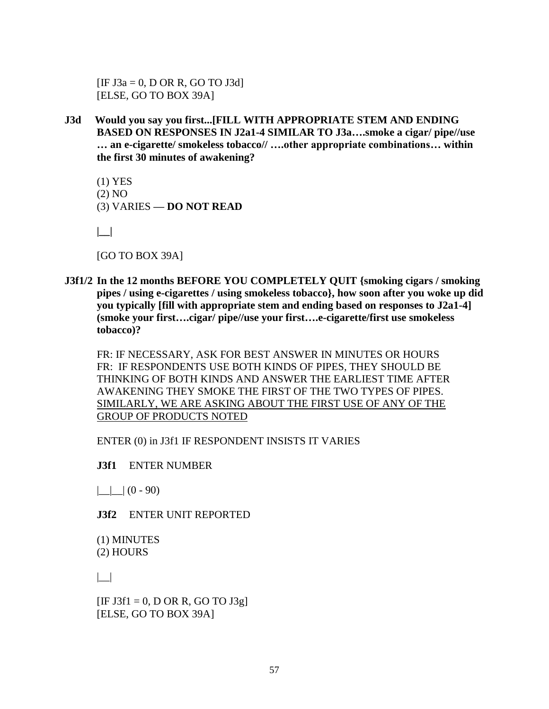$[IF J3a = 0, D OR R, GO TO J3d]$ [ELSE, GO TO BOX 39A]

**J3d Would you say you first...[FILL WITH APPROPRIATE STEM AND ENDING BASED ON RESPONSES IN J2a1-4 SIMILAR TO J3a….smoke a cigar/ pipe//use … an e-cigarette/ smokeless tobacco// ….other appropriate combinations… within the first 30 minutes of awakening?**

(1) YES (2) NO (3) VARIES **— DO NOT READ**

**|\_\_|**

[GO TO BOX 39A]

**J3f1/2 In the 12 months BEFORE YOU COMPLETELY QUIT {smoking cigars / smoking pipes / using e-cigarettes / using smokeless tobacco}, how soon after you woke up did you typically [fill with appropriate stem and ending based on responses to J2a1-4] (smoke your first….cigar/ pipe//use your first….e-cigarette/first use smokeless tobacco)?**

FR: IF NECESSARY, ASK FOR BEST ANSWER IN MINUTES OR HOURS FR: IF RESPONDENTS USE BOTH KINDS OF PIPES, THEY SHOULD BE THINKING OF BOTH KINDS AND ANSWER THE EARLIEST TIME AFTER AWAKENING THEY SMOKE THE FIRST OF THE TWO TYPES OF PIPES. SIMILARLY, WE ARE ASKING ABOUT THE FIRST USE OF ANY OF THE GROUP OF PRODUCTS NOTED

ENTER (0) in J3f1 IF RESPONDENT INSISTS IT VARIES

**J3f1** ENTER NUMBER

 $\Box$  (0 - 90)

**J3f2** ENTER UNIT REPORTED

(1) MINUTES (2) HOURS

 $| \_$ 

 $[IF J3f1 = 0, D OR R, GO TO J3g]$ [ELSE, GO TO BOX 39A]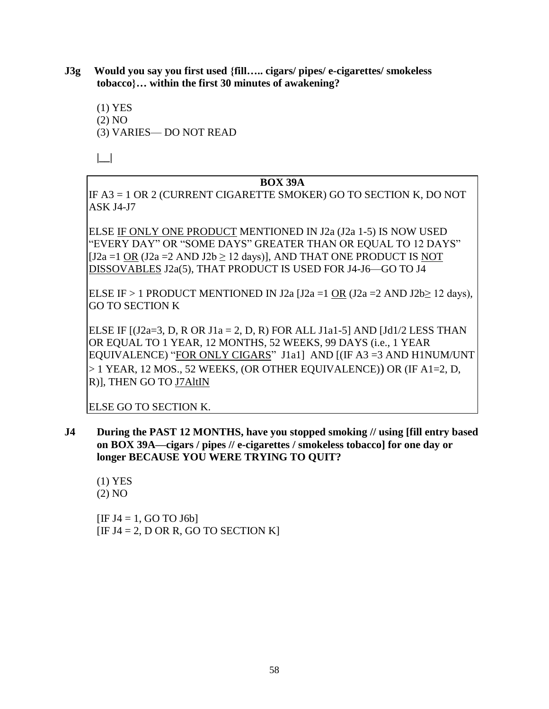**J3g Would you say you first used {fill….. cigars/ pipes/ e-cigarettes/ smokeless tobacco}… within the first 30 minutes of awakening?**

(1) YES (2) NO (3) VARIES— DO NOT READ

**|\_\_|**

#### **BOX 39A**

IF A3 = 1 OR 2 (CURRENT CIGARETTE SMOKER) GO TO SECTION K, DO NOT ASK J4-J7

ELSE IF ONLY ONE PRODUCT MENTIONED IN J2a (J2a 1-5) IS NOW USED "EVERY DAY" OR "SOME DAYS" GREATER THAN OR EQUAL TO 12 DAYS"  $[J2a = 1 \text{ OR } (J2a = 2 \text{ AND } J2b > 12 \text{ days})]$ , AND THAT ONE PRODUCT IS NOT DISSOVABLES J2a(5), THAT PRODUCT IS USED FOR J4-J6—GO TO J4

ELSE IF > 1 PRODUCT MENTIONED IN J2a [J2a =1 OR (J2a =2 AND J2b> 12 days), GO TO SECTION K

ELSE IF  $[(J2a=3, D, R \text{ OR } J1a = 2, D, R)$  FOR ALL J1a1-5] AND  $[Jd1/2$  LESS THAN OR EQUAL TO 1 YEAR, 12 MONTHS, 52 WEEKS, 99 DAYS (i.e., 1 YEAR EQUIVALENCE) "FOR ONLY CIGARS" J1a1] AND [(IF A3 =3 AND H1NUM/UNT > 1 YEAR, 12 MOS., 52 WEEKS, (OR OTHER EQUIVALENCE)) OR (IF A1=2, D, R)], THEN GO TO J7AltIN

ELSE GO TO SECTION K.

**J4 During the PAST 12 MONTHS, have you stopped smoking // using [fill entry based on BOX 39A—cigars / pipes // e-cigarettes / smokeless tobacco] for one day or longer BECAUSE YOU WERE TRYING TO QUIT?** 

(1) YES (2) NO

 $[IF J4 = 1, GO TO J6b]$  $[IF J4 = 2, D OR R, GO TO SECTION K]$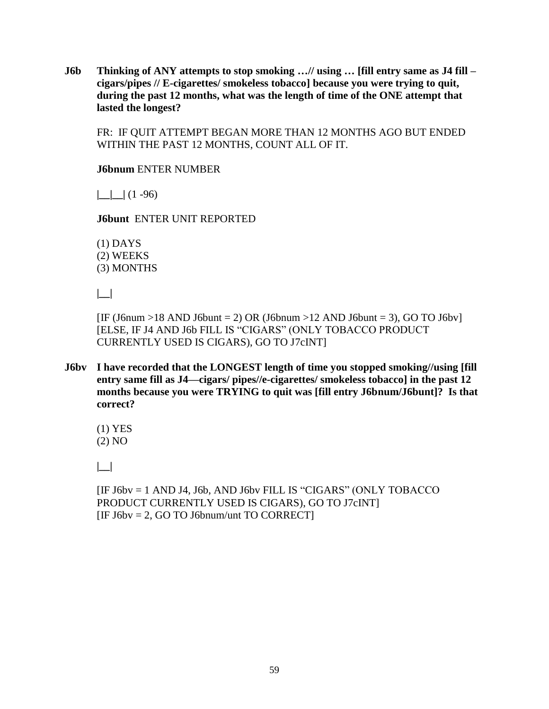**J6b Thinking of ANY attempts to stop smoking …// using … [fill entry same as J4 fill – cigars/pipes // E-cigarettes/ smokeless tobacco] because you were trying to quit, during the past 12 months, what was the length of time of the ONE attempt that lasted the longest?**

FR: IF QUIT ATTEMPT BEGAN MORE THAN 12 MONTHS AGO BUT ENDED WITHIN THE PAST 12 MONTHS, COUNT ALL OF IT.

**J6bnum** ENTER NUMBER

 $|$   $|$   $|$   $|$   $(1 - 96)$ 

**J6bunt** ENTER UNIT REPORTED

(1) DAYS (2) WEEKS (3) MONTHS

**|\_\_|**

[IF (J6num >18 AND J6bunt = 2) OR (J6bnum >12 AND J6bunt = 3), GO TO J6bv] [ELSE, IF J4 AND J6b FILL IS "CIGARS" (ONLY TOBACCO PRODUCT CURRENTLY USED IS CIGARS), GO TO J7cINT]

**J6bv I have recorded that the LONGEST length of time you stopped smoking//using [fill entry same fill as J4—cigars/ pipes//e-cigarettes/ smokeless tobacco] in the past 12 months because you were TRYING to quit was [fill entry J6bnum/J6bunt]? Is that correct?**

(1) YES (2) NO

**|\_\_|**

[IF J6bv = 1 AND J4, J6b, AND J6bv FILL IS "CIGARS" (ONLY TOBACCO PRODUCT CURRENTLY USED IS CIGARS), GO TO J7cINT]  $[IF J6bv = 2, GO TO J6bnum/unt TO CORRECT]$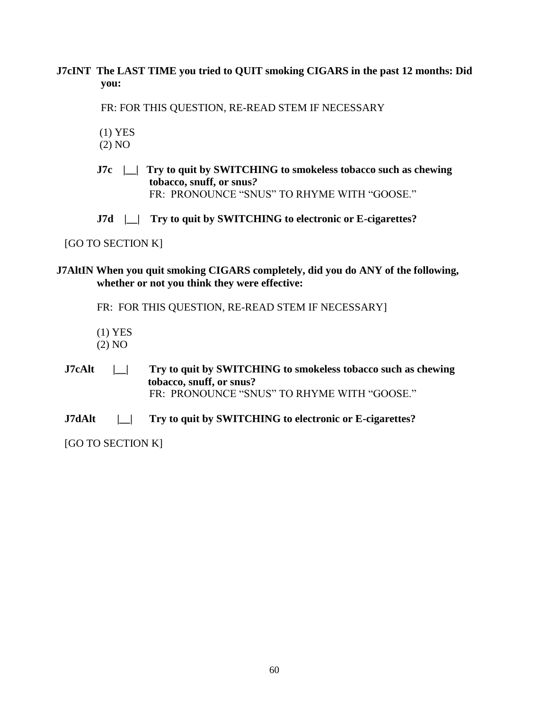**J7cINT The LAST TIME you tried to QUIT smoking CIGARS in the past 12 months: Did you:** 

FR: FOR THIS QUESTION, RE-READ STEM IF NECESSARY

(1) YES

(2) NO

**J7c |\_\_| Try to quit by SWITCHING to smokeless tobacco such as chewing tobacco, snuff, or snus***?* FR: PRONOUNCE "SNUS" TO RHYME WITH "GOOSE."

**J7d |\_\_| Try to quit by SWITCHING to electronic or E-cigarettes?** 

[GO TO SECTION K]

**J7AltIN When you quit smoking CIGARS completely, did you do ANY of the following, whether or not you think they were effective:**

FR: FOR THIS QUESTION, RE-READ STEM IF NECESSARY]

- (1) YES
- (2) NO
- **J7cAlt |\_\_| Try to quit by SWITCHING to smokeless tobacco such as chewing tobacco, snuff, or snus?**  FR:PRONOUNCE "SNUS" TO RHYME WITH "GOOSE."
- **J7dAlt |\_\_| Try to quit by SWITCHING to electronic or E-cigarettes?**

[GO TO SECTION K]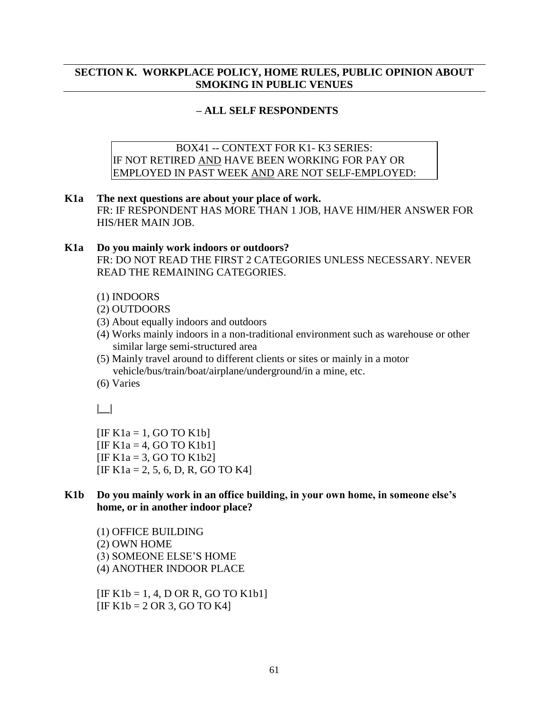#### **SECTION K. WORKPLACE POLICY, HOME RULES, PUBLIC OPINION ABOUT SMOKING IN PUBLIC VENUES**

#### **– ALL SELF RESPONDENTS**

BOX41 -- CONTEXT FOR K1- K3 SERIES: IF NOT RETIRED AND HAVE BEEN WORKING FOR PAY OR EMPLOYED IN PAST WEEK AND ARE NOT SELF-EMPLOYED:

- **K1a The next questions are about your place of work.**  FR: IF RESPONDENT HAS MORE THAN 1 JOB, HAVE HIM/HER ANSWER FOR HIS/HER MAIN JOB.
- **K1a Do you mainly work indoors or outdoors?**  FR: DO NOT READ THE FIRST 2 CATEGORIES UNLESS NECESSARY. NEVER READ THE REMAINING CATEGORIES.
	- (1) INDOORS
	- (2) OUTDOORS
	- (3) About equally indoors and outdoors
	- (4) Works mainly indoors in a non-traditional environment such as warehouse or other similar large semi-structured area
	- (5) Mainly travel around to different clients or sites or mainly in a motor vehicle/bus/train/boat/airplane/underground/in a mine, etc.
	- (6) Varies

**|\_\_|** 

 $[IF K1a = 1, GO TO K1b]$  $[IF K1a = 4, GO TO K1b1]$  $[IF K1a = 3, GO TO K1b2]$  $[IF K1a = 2, 5, 6, D, R, GO TO K4]$ 

#### **K1b Do you mainly work in an office building, in your own home, in someone else's home, or in another indoor place?**

(1) OFFICE BUILDING (2) OWN HOME (3) SOMEONE ELSE'S HOME (4) ANOTHER INDOOR PLACE

 $[IF K1b = 1, 4, D OR R, GO TO K1b1]$  $[IF K1b = 2 OR 3, GO TO K4]$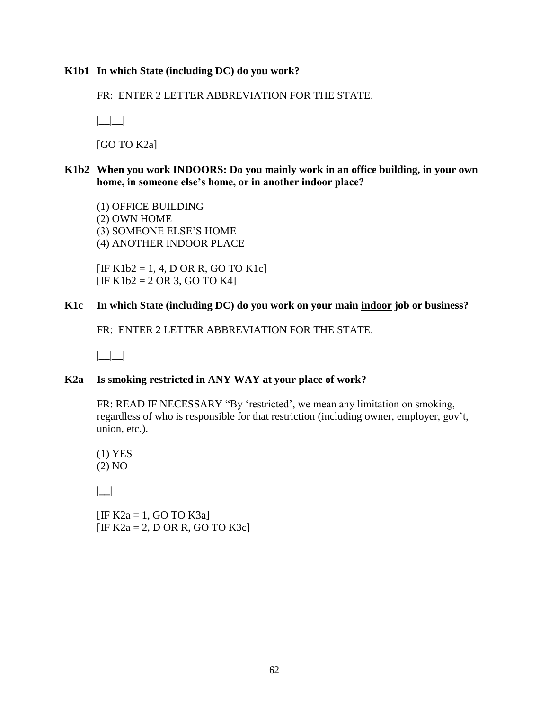#### **K1b1 In which State (including DC) do you work?**

FR: ENTER 2 LETTER ABBREVIATION FOR THE STATE.

 $|$ 

[GO TO K2a]

**K1b2 When you work INDOORS: Do you mainly work in an office building, in your own home, in someone else's home, or in another indoor place?** 

(1) OFFICE BUILDING (2) OWN HOME (3) SOMEONE ELSE'S HOME (4) ANOTHER INDOOR PLACE

 $[IF K1b2 = 1, 4, D OR R, GO TO K1c]$  $[IF K1b2 = 2 OR 3, GO TO K4]$ 

#### **K1c In which State (including DC) do you work on your main indoor job or business?**

FR: ENTER 2 LETTER ABBREVIATION FOR THE STATE.

 $\Box\Box$ 

#### **K2a Is smoking restricted in ANY WAY at your place of work?**

FR: READ IF NECESSARY "By 'restricted', we mean any limitation on smoking, regardless of who is responsible for that restriction (including owner, employer, gov't, union, etc.).

(1) YES (2) NO

**|\_\_|**

[IF  $K2a = 1$ , GO TO  $K3a$ ] [IF K2a = 2, D OR R, GO TO K3c**]**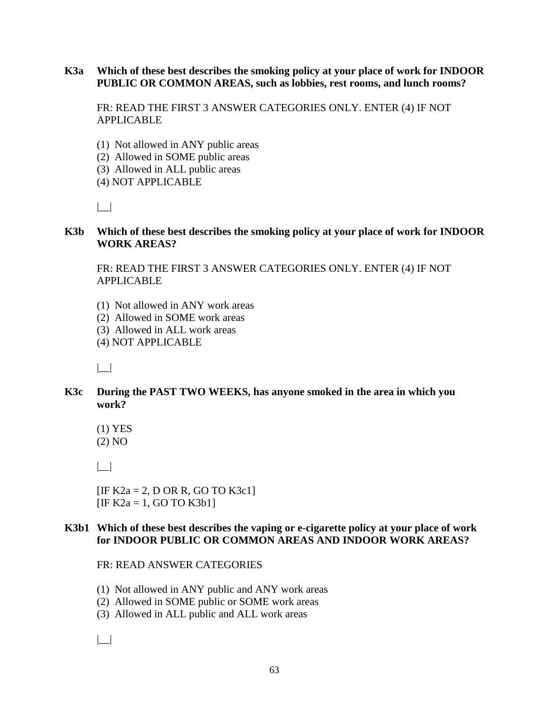#### **K3a Which of these best describes the smoking policy at your place of work for INDOOR PUBLIC OR COMMON AREAS, such as lobbies, rest rooms, and lunch rooms?**

FR: READ THE FIRST 3 ANSWER CATEGORIES ONLY. ENTER (4) IF NOT APPLICABLE

- (1) Not allowed in ANY public areas
- (2) Allowed in SOME public areas
- (3) Allowed in ALL public areas
- (4) NOT APPLICABLE

|\_\_|

#### **K3b Which of these best describes the smoking policy at your place of work for INDOOR WORK AREAS?**

FR: READ THE FIRST 3 ANSWER CATEGORIES ONLY. ENTER (4) IF NOT APPLICABLE

- (1) Not allowed in ANY work areas
- (2) Allowed in SOME work areas
- (3) Allowed in ALL work areas
- (4) NOT APPLICABLE

 $| \_|$ 

#### **K3c During the PAST TWO WEEKS, has anyone smoked in the area in which you work?**

(1) YES (2) NO

 $| \_$ 

 $[IF K2a = 2, D OR R, GO TO K3c1]$  $[IF K2a = 1, GO TO K3b1]$ 

#### **K3b1 Which of these best describes the vaping or e-cigarette policy at your place of work for INDOOR PUBLIC OR COMMON AREAS AND INDOOR WORK AREAS?**

#### FR: READ ANSWER CATEGORIES

- (1) Not allowed in ANY public and ANY work areas
- (2) Allowed in SOME public or SOME work areas
- (3) Allowed in ALL public and ALL work areas

|\_\_|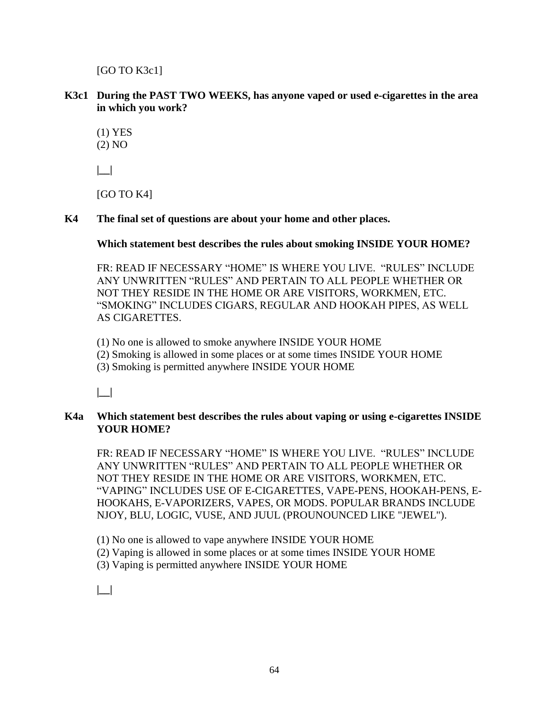[GO TO K3c1]

**K3c1 During the PAST TWO WEEKS, has anyone vaped or used e-cigarettes in the area in which you work?**

(1) YES (2) NO

**|\_\_|**

[GO TO K4]

**K4 The final set of questions are about your home and other places.**

**Which statement best describes the rules about smoking INSIDE YOUR HOME?**

FR: READ IF NECESSARY "HOME" IS WHERE YOU LIVE. "RULES" INCLUDE ANY UNWRITTEN "RULES" AND PERTAIN TO ALL PEOPLE WHETHER OR NOT THEY RESIDE IN THE HOME OR ARE VISITORS, WORKMEN, ETC. "SMOKING" INCLUDES CIGARS, REGULAR AND HOOKAH PIPES, AS WELL AS CIGARETTES.

(1) No one is allowed to smoke anywhere INSIDE YOUR HOME

(2) Smoking is allowed in some places or at some times INSIDE YOUR HOME

(3) Smoking is permitted anywhere INSIDE YOUR HOME

**|\_\_|**

#### **K4a Which statement best describes the rules about vaping or using e-cigarettes INSIDE YOUR HOME?**

FR: READ IF NECESSARY "HOME" IS WHERE YOU LIVE. "RULES" INCLUDE ANY UNWRITTEN "RULES" AND PERTAIN TO ALL PEOPLE WHETHER OR NOT THEY RESIDE IN THE HOME OR ARE VISITORS, WORKMEN, ETC. "VAPING" INCLUDES USE OF E-CIGARETTES, VAPE-PENS, HOOKAH-PENS, E-HOOKAHS, E-VAPORIZERS, VAPES, OR MODS. POPULAR BRANDS INCLUDE NJOY, BLU, LOGIC, VUSE, AND JUUL (PROUNOUNCED LIKE "JEWEL").

(1) No one is allowed to vape anywhere INSIDE YOUR HOME

(2) Vaping is allowed in some places or at some times INSIDE YOUR HOME

(3) Vaping is permitted anywhere INSIDE YOUR HOME

**|\_\_|**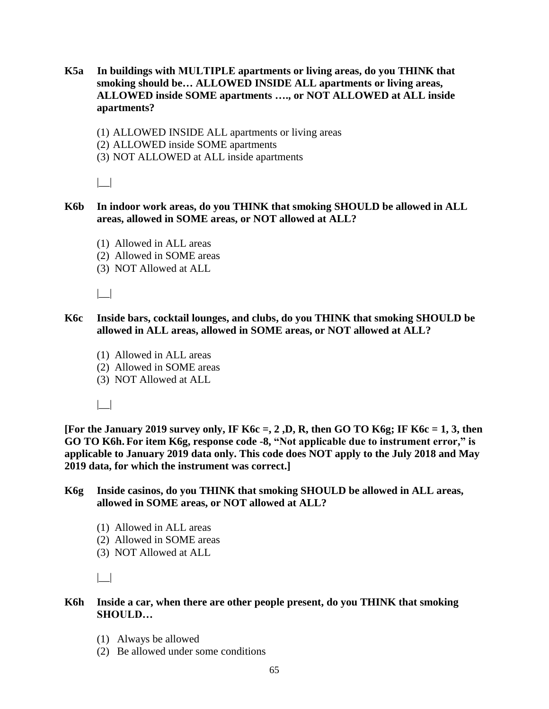- **K5a In buildings with MULTIPLE apartments or living areas, do you THINK that smoking should be… ALLOWED INSIDE ALL apartments or living areas, ALLOWED inside SOME apartments …., or NOT ALLOWED at ALL inside apartments?** 
	- (1) ALLOWED INSIDE ALL apartments or living areas
	- (2) ALLOWED inside SOME apartments
	- (3) NOT ALLOWED at ALL inside apartments

 $| \_$ 

- **K6b In indoor work areas, do you THINK that smoking SHOULD be allowed in ALL areas, allowed in SOME areas, or NOT allowed at ALL?**
	- (1) Allowed in ALL areas
	- (2) Allowed in SOME areas
	- (3) NOT Allowed at ALL

|\_\_|

- **K6c Inside bars, cocktail lounges, and clubs, do you THINK that smoking SHOULD be allowed in ALL areas, allowed in SOME areas, or NOT allowed at ALL?**
	- (1) Allowed in ALL areas
	- (2) Allowed in SOME areas
	- (3) NOT Allowed at ALL

 $| \_$ 

**[For the January 2019 survey only, IF K6c =, 2 ,D, R, then GO TO K6g; IF K6c = 1, 3, then GO TO K6h. For item K6g, response code -8, "Not applicable due to instrument error," is applicable to January 2019 data only. This code does NOT apply to the July 2018 and May 2019 data, for which the instrument was correct.]**

#### **K6g Inside casinos, do you THINK that smoking SHOULD be allowed in ALL areas, allowed in SOME areas, or NOT allowed at ALL?**

- (1) Allowed in ALL areas
- (2) Allowed in SOME areas
- (3) NOT Allowed at ALL

 $| \_$ 

#### **K6h Inside a car, when there are other people present, do you THINK that smoking SHOULD…**

- (1) Always be allowed
- (2) Be allowed under some conditions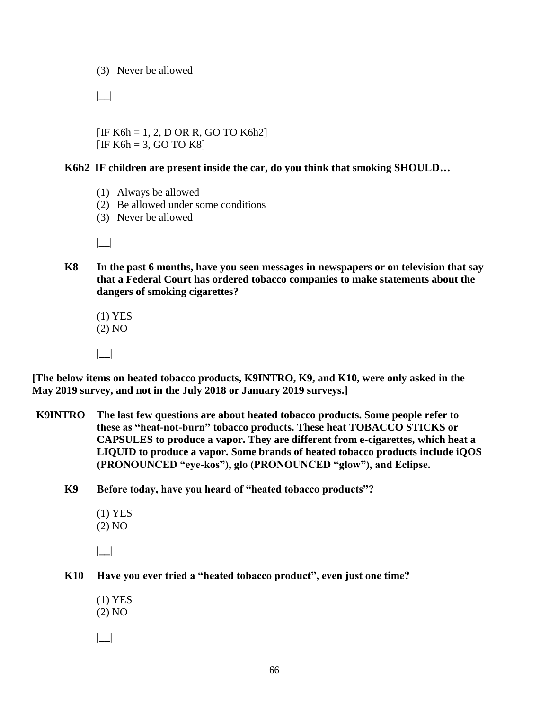(3) Never be allowed

 $| \_$ 

 $[IF K6h = 1, 2, D OR R, GO TO K6h2]$  $[IF K6h = 3, GO TO K8]$ 

#### **K6h2 IF children are present inside the car, do you think that smoking SHOULD…**

- (1) Always be allowed
- (2) Be allowed under some conditions
- (3) Never be allowed

 $| \_$ 

**K8 In the past 6 months, have you seen messages in newspapers or on television that say that a Federal Court has ordered tobacco companies to make statements about the dangers of smoking cigarettes?** 

 (1) YES (2) NO

**|\_\_|** 

**[The below items on heated tobacco products, K9INTRO, K9, and K10, were only asked in the May 2019 survey, and not in the July 2018 or January 2019 surveys.]** 

**K9INTRO The last few questions are about heated tobacco products. Some people refer to these as "heat-not-burn" tobacco products. These heat TOBACCO STICKS or CAPSULES to produce a vapor. They are different from e-cigarettes, which heat a LIQUID to produce a vapor. Some brands of heated tobacco products include iQOS (PRONOUNCED "eye-kos"), glo (PRONOUNCED "glow"), and Eclipse.**

**K9 Before today, have you heard of "heated tobacco products"?**

(1) YES (2) NO

**|\_\_|** 

- **K10 Have you ever tried a "heated tobacco product", even just one time?**
	- (1) YES (2) NO **|\_\_|**